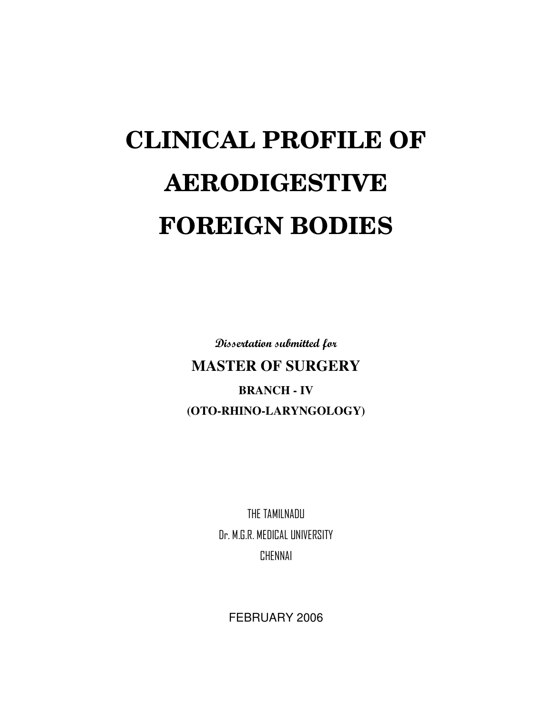# **CLINICAL PROFILE OF AERODIGESTIVE FOREIGN BODIES**

Dissertation submitted for

**MASTER OF SURGERY BRANCH - IV (OTO-RHINO-LARYNGOLOGY)**

> THE TAMILNADU Dr. M.G.R. MEDICAL UNIVERSITY CHENNAI

FEBRUARY 2006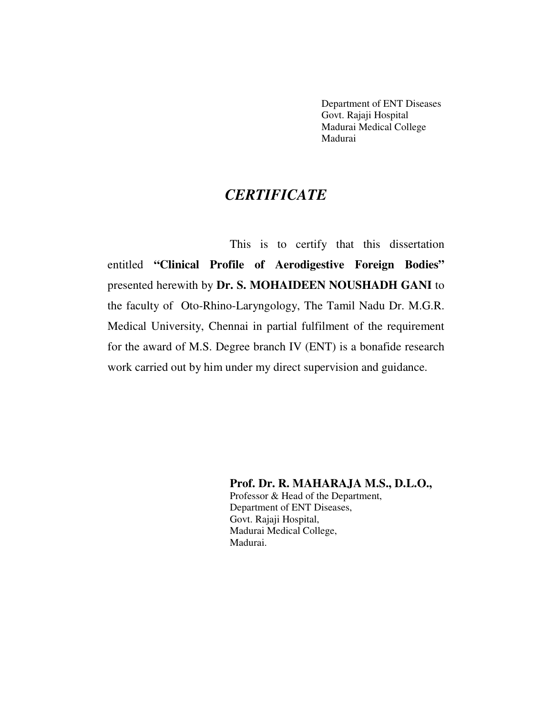Department of ENT Diseases Govt. Rajaji Hospital Madurai Medical College Madurai

## *CERTIFICATE*

This is to certify that this dissertation entitled **"Clinical Profile of Aerodigestive Foreign Bodies"** presented herewith by **Dr. S. MOHAIDEEN NOUSHADH GANI** to the faculty of Oto-Rhino-Laryngology, The Tamil Nadu Dr. M.G.R. Medical University, Chennai in partial fulfilment of the requirement for the award of M.S. Degree branch IV (ENT) is a bonafide research work carried out by him under my direct supervision and guidance.

> **Prof. Dr. R. MAHARAJA M.S., D.L.O.,** Professor & Head of the Department, Department of ENT Diseases, Govt. Rajaji Hospital, Madurai Medical College, Madurai.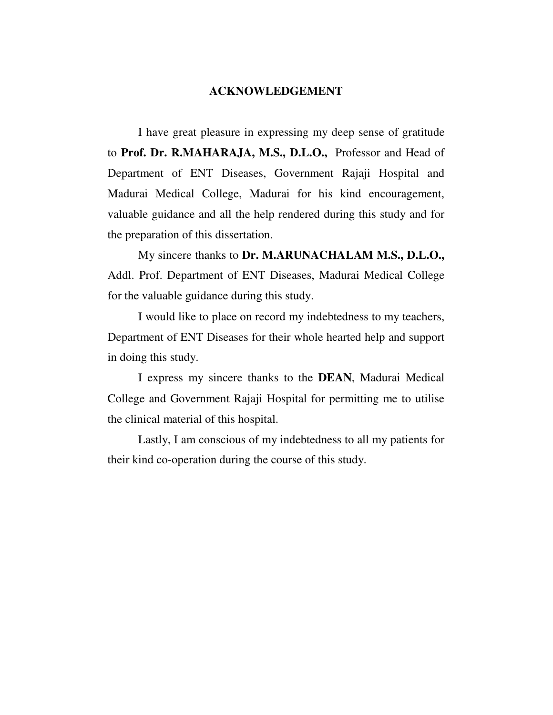#### **ACKNOWLEDGEMENT**

I have great pleasure in expressing my deep sense of gratitude to **Prof. Dr. R.MAHARAJA, M.S., D.L.O.,** Professor and Head of Department of ENT Diseases, Government Rajaji Hospital and Madurai Medical College, Madurai for his kind encouragement, valuable guidance and all the help rendered during this study and for the preparation of this dissertation.

My sincere thanks to **Dr. M.ARUNACHALAM M.S., D.L.O.,** Addl. Prof. Department of ENT Diseases, Madurai Medical College for the valuable guidance during this study.

I would like to place on record my indebtedness to my teachers, Department of ENT Diseases for their whole hearted help and support in doing this study.

I express my sincere thanks to the **DEAN**, Madurai Medical College and Government Rajaji Hospital for permitting me to utilise the clinical material of this hospital.

Lastly, I am conscious of my indebtedness to all my patients for their kind co-operation during the course of this study.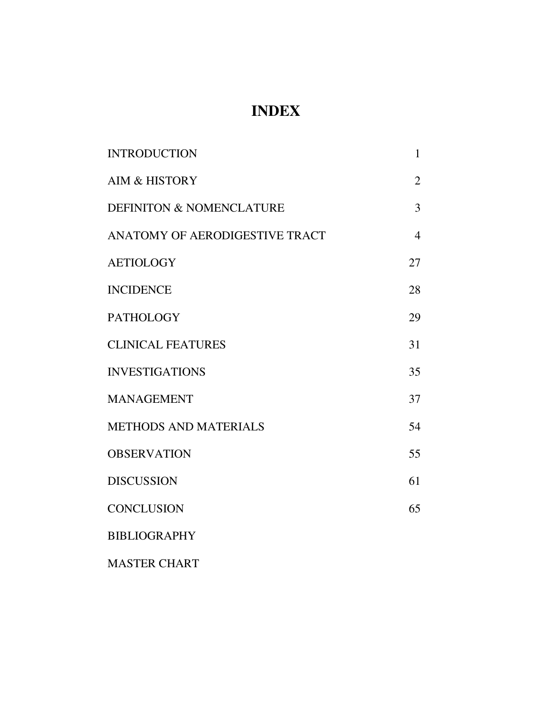# **INDEX**

| <b>INTRODUCTION</b>                 | 1              |
|-------------------------------------|----------------|
| <b>AIM &amp; HISTORY</b>            | $\overline{2}$ |
| <b>DEFINITON &amp; NOMENCLATURE</b> | 3              |
| ANATOMY OF AERODIGESTIVE TRACT      | $\overline{4}$ |
| <b>AETIOLOGY</b>                    | 27             |
| <b>INCIDENCE</b>                    | 28             |
| <b>PATHOLOGY</b>                    | 29             |
| <b>CLINICAL FEATURES</b>            | 31             |
| <b>INVESTIGATIONS</b>               | 35             |
| <b>MANAGEMENT</b>                   | 37             |
| <b>METHODS AND MATERIALS</b>        | 54             |
| <b>OBSERVATION</b>                  | 55             |
| <b>DISCUSSION</b>                   | 61             |
| <b>CONCLUSION</b>                   | 65             |
| <b>BIBLIOGRAPHY</b>                 |                |
|                                     |                |

MASTER CHART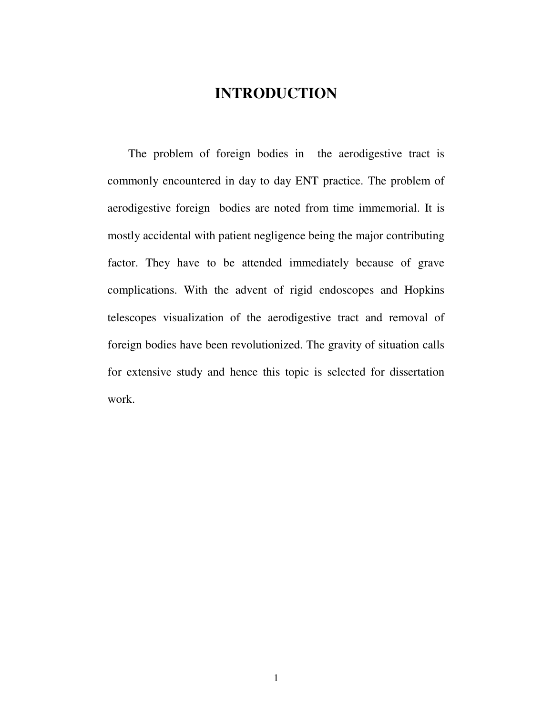# **INTRODUCTION**

The problem of foreign bodies in the aerodigestive tract is commonly encountered in day to day ENT practice. The problem of aerodigestive foreign bodies are noted from time immemorial. It is mostly accidental with patient negligence being the major contributing factor. They have to be attended immediately because of grave complications. With the advent of rigid endoscopes and Hopkins telescopes visualization of the aerodigestive tract and removal of foreign bodies have been revolutionized. The gravity of situation calls for extensive study and hence this topic is selected for dissertation work.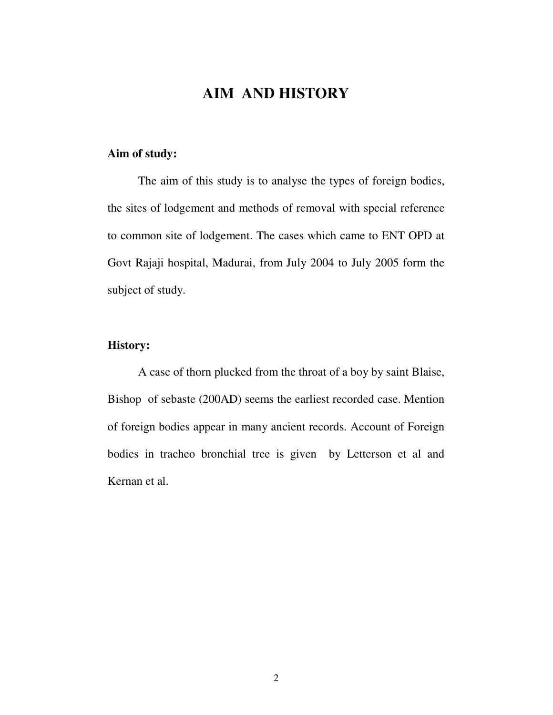# **AIM AND HISTORY**

#### **Aim of study:**

The aim of this study is to analyse the types of foreign bodies, the sites of lodgement and methods of removal with special reference to common site of lodgement. The cases which came to ENT OPD at Govt Rajaji hospital, Madurai, from July 2004 to July 2005 form the subject of study.

## **History:**

A case of thorn plucked from the throat of a boy by saint Blaise, Bishop of sebaste (200AD) seems the earliest recorded case. Mention of foreign bodies appear in many ancient records. Account of Foreign bodies in tracheo bronchial tree is given by Letterson et al and Kernan et al.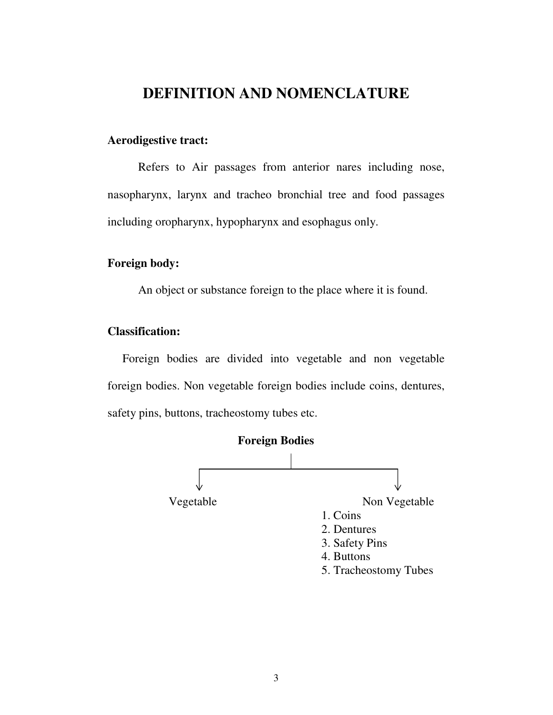# **DEFINITION AND NOMENCLATURE**

### **Aerodigestive tract:**

Refers to Air passages from anterior nares including nose, nasopharynx, larynx and tracheo bronchial tree and food passages including oropharynx, hypopharynx and esophagus only.

#### **Foreign body:**

An object or substance foreign to the place where it is found.

#### **Classification:**

Foreign bodies are divided into vegetable and non vegetable foreign bodies. Non vegetable foreign bodies include coins, dentures, safety pins, buttons, tracheostomy tubes etc.

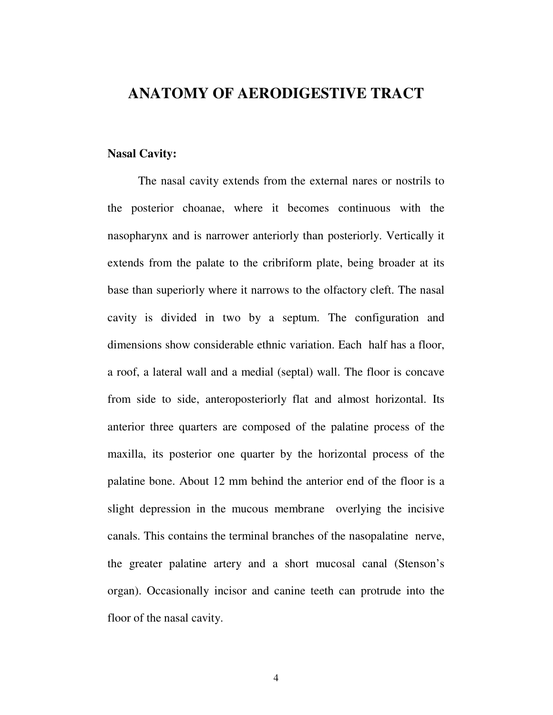## **ANATOMY OF AERODIGESTIVE TRACT**

#### **Nasal Cavity:**

The nasal cavity extends from the external nares or nostrils to the posterior choanae, where it becomes continuous with the nasopharynx and is narrower anteriorly than posteriorly. Vertically it extends from the palate to the cribriform plate, being broader at its base than superiorly where it narrows to the olfactory cleft. The nasal cavity is divided in two by a septum. The configuration and dimensions show considerable ethnic variation. Each half has a floor, a roof, a lateral wall and a medial (septal) wall. The floor is concave from side to side, anteroposteriorly flat and almost horizontal. Its anterior three quarters are composed of the palatine process of the maxilla, its posterior one quarter by the horizontal process of the palatine bone. About 12 mm behind the anterior end of the floor is a slight depression in the mucous membrane overlying the incisive canals. This contains the terminal branches of the nasopalatine nerve, the greater palatine artery and a short mucosal canal (Stenson's organ). Occasionally incisor and canine teeth can protrude into the floor of the nasal cavity.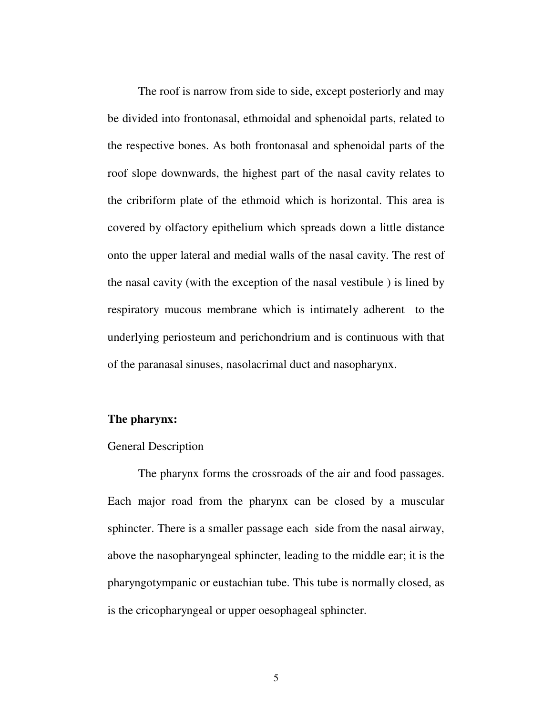The roof is narrow from side to side, except posteriorly and may be divided into frontonasal, ethmoidal and sphenoidal parts, related to the respective bones. As both frontonasal and sphenoidal parts of the roof slope downwards, the highest part of the nasal cavity relates to the cribriform plate of the ethmoid which is horizontal. This area is covered by olfactory epithelium which spreads down a little distance onto the upper lateral and medial walls of the nasal cavity. The rest of the nasal cavity (with the exception of the nasal vestibule ) is lined by respiratory mucous membrane which is intimately adherent to the underlying periosteum and perichondrium and is continuous with that of the paranasal sinuses, nasolacrimal duct and nasopharynx.

#### **The pharynx:**

#### General Description

The pharynx forms the crossroads of the air and food passages. Each major road from the pharynx can be closed by a muscular sphincter. There is a smaller passage each side from the nasal airway, above the nasopharyngeal sphincter, leading to the middle ear; it is the pharyngotympanic or eustachian tube. This tube is normally closed, as is the cricopharyngeal or upper oesophageal sphincter.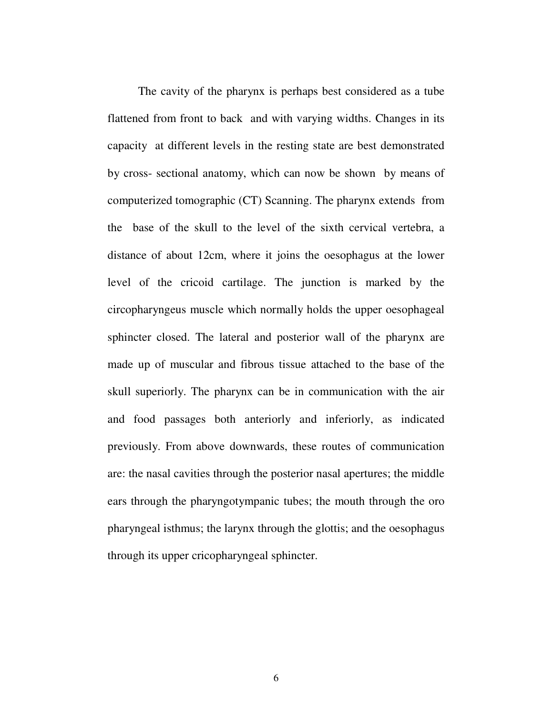The cavity of the pharynx is perhaps best considered as a tube flattened from front to back and with varying widths. Changes in its capacity at different levels in the resting state are best demonstrated by cross- sectional anatomy, which can now be shown by means of computerized tomographic (CT) Scanning. The pharynx extends from the base of the skull to the level of the sixth cervical vertebra, a distance of about 12cm, where it joins the oesophagus at the lower level of the cricoid cartilage. The junction is marked by the circopharyngeus muscle which normally holds the upper oesophageal sphincter closed. The lateral and posterior wall of the pharynx are made up of muscular and fibrous tissue attached to the base of the skull superiorly. The pharynx can be in communication with the air and food passages both anteriorly and inferiorly, as indicated previously. From above downwards, these routes of communication are: the nasal cavities through the posterior nasal apertures; the middle ears through the pharyngotympanic tubes; the mouth through the oro pharyngeal isthmus; the larynx through the glottis; and the oesophagus through its upper cricopharyngeal sphincter.

6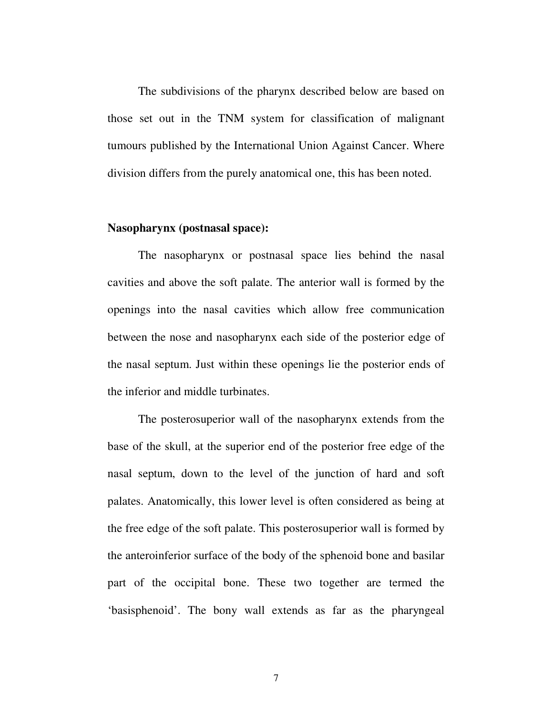The subdivisions of the pharynx described below are based on those set out in the TNM system for classification of malignant tumours published by the International Union Against Cancer. Where division differs from the purely anatomical one, this has been noted.

#### **Nasopharynx (postnasal space):**

The nasopharynx or postnasal space lies behind the nasal cavities and above the soft palate. The anterior wall is formed by the openings into the nasal cavities which allow free communication between the nose and nasopharynx each side of the posterior edge of the nasal septum. Just within these openings lie the posterior ends of the inferior and middle turbinates.

The posterosuperior wall of the nasopharynx extends from the base of the skull, at the superior end of the posterior free edge of the nasal septum, down to the level of the junction of hard and soft palates. Anatomically, this lower level is often considered as being at the free edge of the soft palate. This posterosuperior wall is formed by the anteroinferior surface of the body of the sphenoid bone and basilar part of the occipital bone. These two together are termed the 'basisphenoid'. The bony wall extends as far as the pharyngeal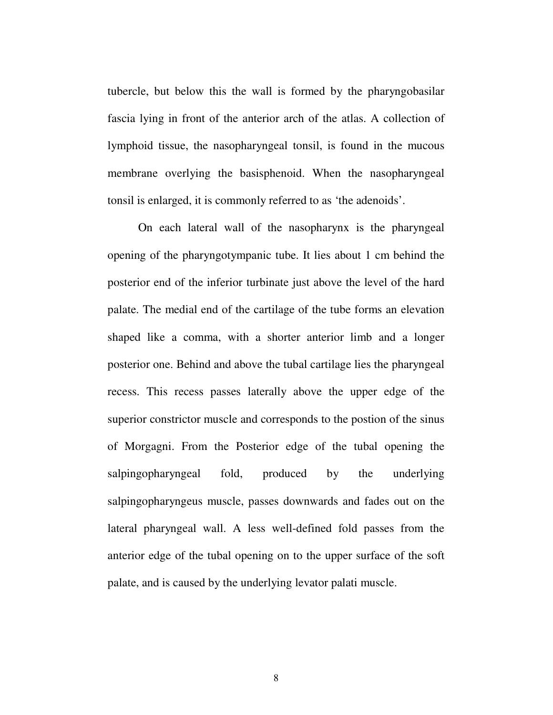tubercle, but below this the wall is formed by the pharyngobasilar fascia lying in front of the anterior arch of the atlas. A collection of lymphoid tissue, the nasopharyngeal tonsil, is found in the mucous membrane overlying the basisphenoid. When the nasopharyngeal tonsil is enlarged, it is commonly referred to as 'the adenoids'.

On each lateral wall of the nasopharynx is the pharyngeal opening of the pharyngotympanic tube. It lies about 1 cm behind the posterior end of the inferior turbinate just above the level of the hard palate. The medial end of the cartilage of the tube forms an elevation shaped like a comma, with a shorter anterior limb and a longer posterior one. Behind and above the tubal cartilage lies the pharyngeal recess. This recess passes laterally above the upper edge of the superior constrictor muscle and corresponds to the postion of the sinus of Morgagni. From the Posterior edge of the tubal opening the salpingopharyngeal fold, produced by the underlying salpingopharyngeus muscle, passes downwards and fades out on the lateral pharyngeal wall. A less well-defined fold passes from the anterior edge of the tubal opening on to the upper surface of the soft palate, and is caused by the underlying levator palati muscle.

8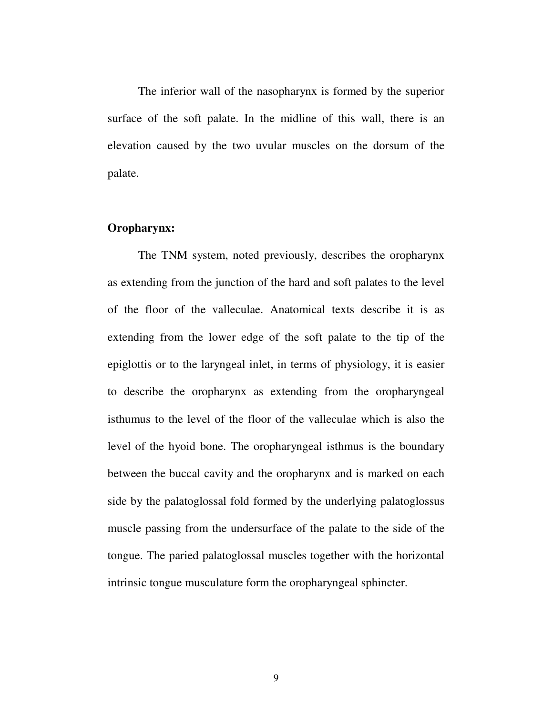The inferior wall of the nasopharynx is formed by the superior surface of the soft palate. In the midline of this wall, there is an elevation caused by the two uvular muscles on the dorsum of the palate.

#### **Oropharynx:**

The TNM system, noted previously, describes the oropharynx as extending from the junction of the hard and soft palates to the level of the floor of the valleculae. Anatomical texts describe it is as extending from the lower edge of the soft palate to the tip of the epiglottis or to the laryngeal inlet, in terms of physiology, it is easier to describe the oropharynx as extending from the oropharyngeal isthumus to the level of the floor of the valleculae which is also the level of the hyoid bone. The oropharyngeal isthmus is the boundary between the buccal cavity and the oropharynx and is marked on each side by the palatoglossal fold formed by the underlying palatoglossus muscle passing from the undersurface of the palate to the side of the tongue. The paried palatoglossal muscles together with the horizontal intrinsic tongue musculature form the oropharyngeal sphincter.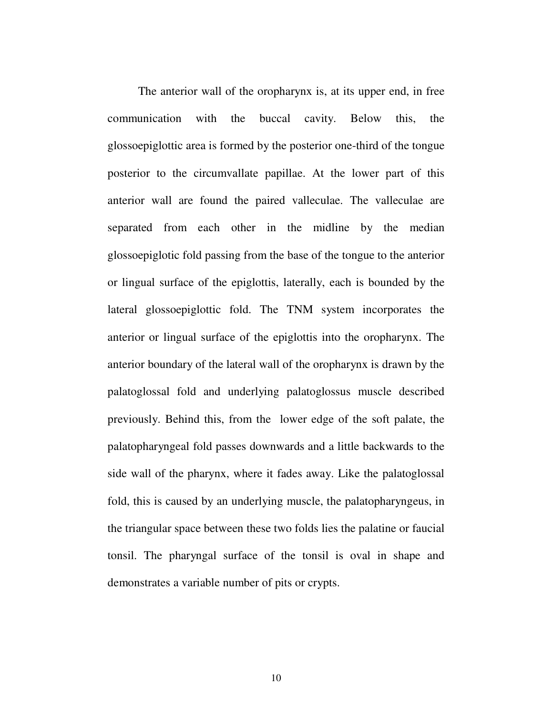The anterior wall of the oropharynx is, at its upper end, in free communication with the buccal cavity. Below this, the glossoepiglottic area is formed by the posterior one-third of the tongue posterior to the circumvallate papillae. At the lower part of this anterior wall are found the paired valleculae. The valleculae are separated from each other in the midline by the median glossoepiglotic fold passing from the base of the tongue to the anterior or lingual surface of the epiglottis, laterally, each is bounded by the lateral glossoepiglottic fold. The TNM system incorporates the anterior or lingual surface of the epiglottis into the oropharynx. The anterior boundary of the lateral wall of the oropharynx is drawn by the palatoglossal fold and underlying palatoglossus muscle described previously. Behind this, from the lower edge of the soft palate, the palatopharyngeal fold passes downwards and a little backwards to the side wall of the pharynx, where it fades away. Like the palatoglossal fold, this is caused by an underlying muscle, the palatopharyngeus, in the triangular space between these two folds lies the palatine or faucial tonsil. The pharyngal surface of the tonsil is oval in shape and demonstrates a variable number of pits or crypts.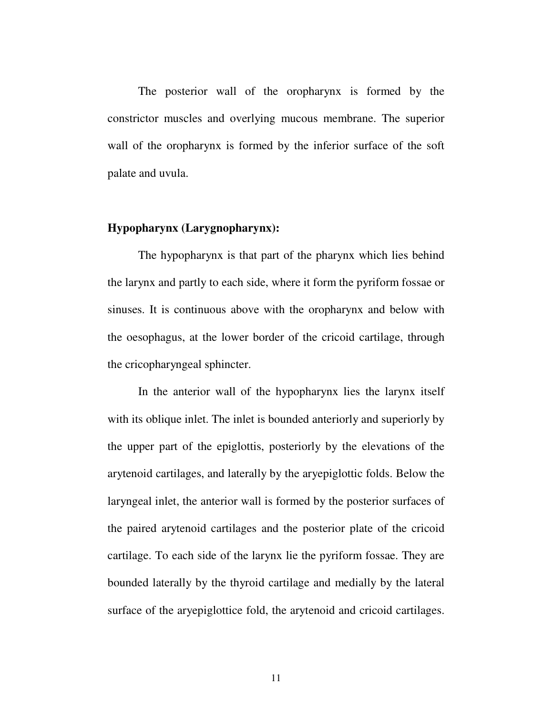The posterior wall of the oropharynx is formed by the constrictor muscles and overlying mucous membrane. The superior wall of the oropharynx is formed by the inferior surface of the soft palate and uvula.

#### **Hypopharynx (Larygnopharynx):**

The hypopharynx is that part of the pharynx which lies behind the larynx and partly to each side, where it form the pyriform fossae or sinuses. It is continuous above with the oropharynx and below with the oesophagus, at the lower border of the cricoid cartilage, through the cricopharyngeal sphincter.

In the anterior wall of the hypopharynx lies the larynx itself with its oblique inlet. The inlet is bounded anteriorly and superiorly by the upper part of the epiglottis, posteriorly by the elevations of the arytenoid cartilages, and laterally by the aryepiglottic folds. Below the laryngeal inlet, the anterior wall is formed by the posterior surfaces of the paired arytenoid cartilages and the posterior plate of the cricoid cartilage. To each side of the larynx lie the pyriform fossae. They are bounded laterally by the thyroid cartilage and medially by the lateral surface of the aryepiglottice fold, the arytenoid and cricoid cartilages.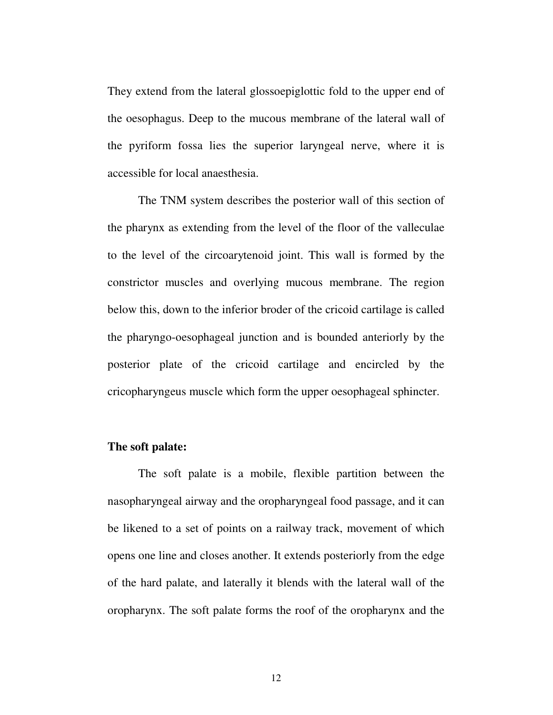They extend from the lateral glossoepiglottic fold to the upper end of the oesophagus. Deep to the mucous membrane of the lateral wall of the pyriform fossa lies the superior laryngeal nerve, where it is accessible for local anaesthesia.

The TNM system describes the posterior wall of this section of the pharynx as extending from the level of the floor of the valleculae to the level of the circoarytenoid joint. This wall is formed by the constrictor muscles and overlying mucous membrane. The region below this, down to the inferior broder of the cricoid cartilage is called the pharyngo-oesophageal junction and is bounded anteriorly by the posterior plate of the cricoid cartilage and encircled by the cricopharyngeus muscle which form the upper oesophageal sphincter.

#### **The soft palate:**

The soft palate is a mobile, flexible partition between the nasopharyngeal airway and the oropharyngeal food passage, and it can be likened to a set of points on a railway track, movement of which opens one line and closes another. It extends posteriorly from the edge of the hard palate, and laterally it blends with the lateral wall of the oropharynx. The soft palate forms the roof of the oropharynx and the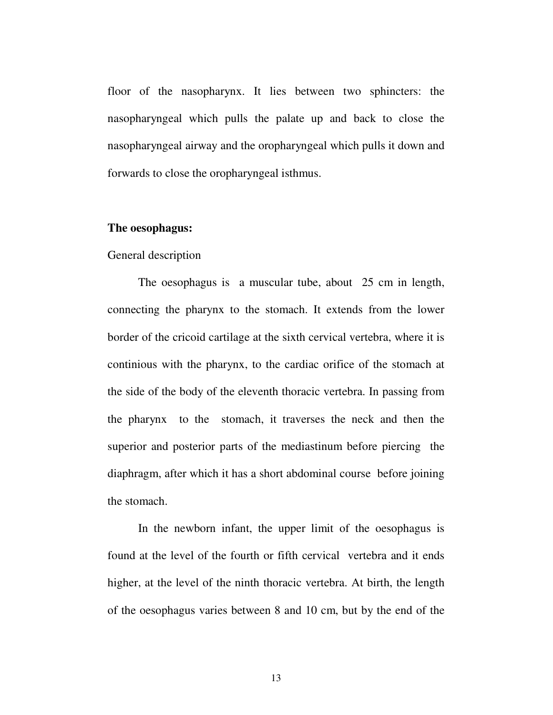floor of the nasopharynx. It lies between two sphincters: the nasopharyngeal which pulls the palate up and back to close the nasopharyngeal airway and the oropharyngeal which pulls it down and forwards to close the oropharyngeal isthmus.

#### **The oesophagus:**

#### General description

The oesophagus is a muscular tube, about 25 cm in length, connecting the pharynx to the stomach. It extends from the lower border of the cricoid cartilage at the sixth cervical vertebra, where it is continious with the pharynx, to the cardiac orifice of the stomach at the side of the body of the eleventh thoracic vertebra. In passing from the pharynx to the stomach, it traverses the neck and then the superior and posterior parts of the mediastinum before piercing the diaphragm, after which it has a short abdominal course before joining the stomach.

In the newborn infant, the upper limit of the oesophagus is found at the level of the fourth or fifth cervical vertebra and it ends higher, at the level of the ninth thoracic vertebra. At birth, the length of the oesophagus varies between 8 and 10 cm, but by the end of the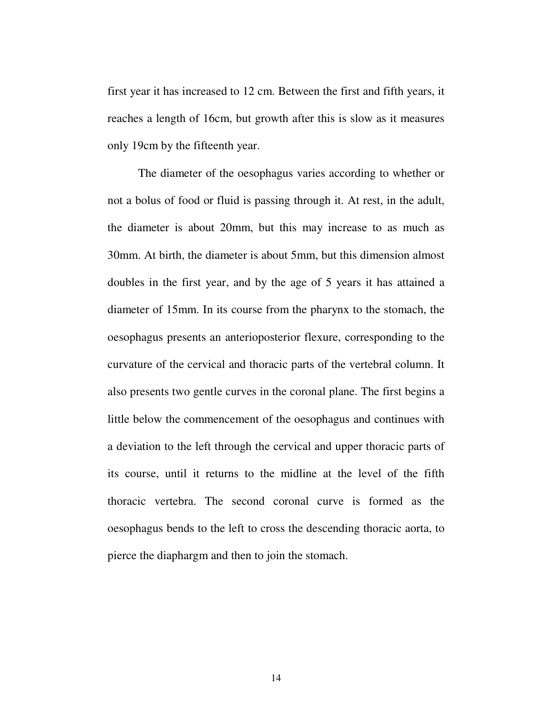first year it has increased to 12 cm. Between the first and fifth years, it reaches a length of 16cm, but growth after this is slow as it measures only 19cm by the fifteenth year.

The diameter of the oesophagus varies according to whether or not a bolus of food or fluid is passing through it. At rest, in the adult, the diameter is about 20mm, but this may increase to as much as 30mm. At birth, the diameter is about 5mm, but this dimension almost doubles in the first year, and by the age of 5 years it has attained a diameter of 15mm. In its course from the pharynx to the stomach, the oesophagus presents an anterioposterior flexure, corresponding to the curvature of the cervical and thoracic parts of the vertebral column. It also presents two gentle curves in the coronal plane. The first begins a little below the commencement of the oesophagus and continues with a deviation to the left through the cervical and upper thoracic parts of its course, until it returns to the midline at the level of the fifth thoracic vertebra. The second coronal curve is formed as the oesophagus bends to the left to cross the descending thoracic aorta, to pierce the diaphargm and then to join the stomach.

14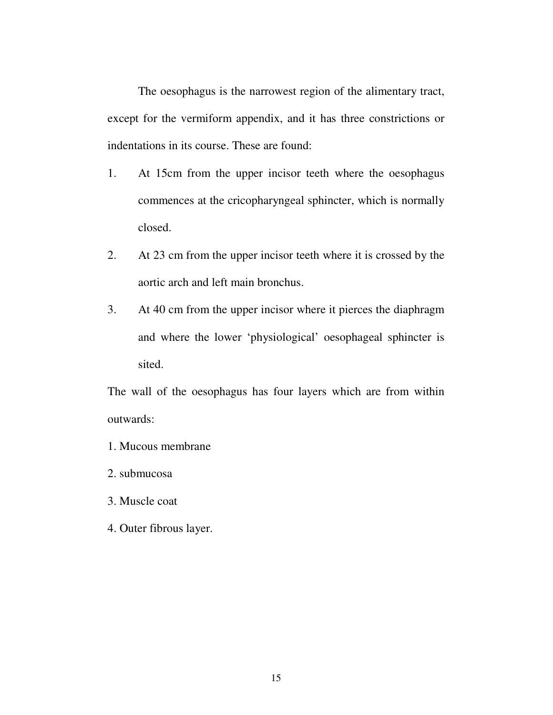The oesophagus is the narrowest region of the alimentary tract, except for the vermiform appendix, and it has three constrictions or indentations in its course. These are found:

- 1. At 15cm from the upper incisor teeth where the oesophagus commences at the cricopharyngeal sphincter, which is normally closed.
- 2. At 23 cm from the upper incisor teeth where it is crossed by the aortic arch and left main bronchus.
- 3. At 40 cm from the upper incisor where it pierces the diaphragm and where the lower 'physiological' oesophageal sphincter is sited.

The wall of the oesophagus has four layers which are from within outwards:

- 1. Mucous membrane
- 2. submucosa
- 3. Muscle coat
- 4. Outer fibrous layer.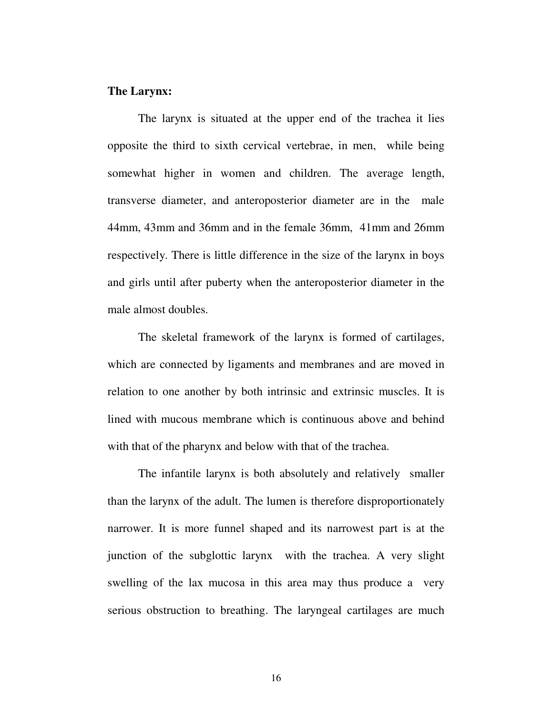#### **The Larynx:**

The larynx is situated at the upper end of the trachea it lies opposite the third to sixth cervical vertebrae, in men, while being somewhat higher in women and children. The average length, transverse diameter, and anteroposterior diameter are in the male 44mm, 43mm and 36mm and in the female 36mm, 41mm and 26mm respectively. There is little difference in the size of the larynx in boys and girls until after puberty when the anteroposterior diameter in the male almost doubles.

The skeletal framework of the larynx is formed of cartilages, which are connected by ligaments and membranes and are moved in relation to one another by both intrinsic and extrinsic muscles. It is lined with mucous membrane which is continuous above and behind with that of the pharynx and below with that of the trachea.

The infantile larynx is both absolutely and relatively smaller than the larynx of the adult. The lumen is therefore disproportionately narrower. It is more funnel shaped and its narrowest part is at the junction of the subglottic larynx with the trachea. A very slight swelling of the lax mucosa in this area may thus produce a very serious obstruction to breathing. The laryngeal cartilages are much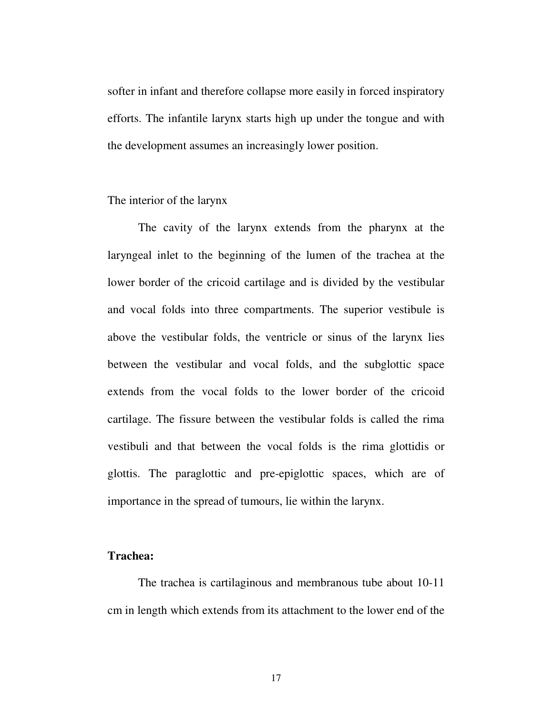softer in infant and therefore collapse more easily in forced inspiratory efforts. The infantile larynx starts high up under the tongue and with the development assumes an increasingly lower position.

#### The interior of the larynx

The cavity of the larynx extends from the pharynx at the laryngeal inlet to the beginning of the lumen of the trachea at the lower border of the cricoid cartilage and is divided by the vestibular and vocal folds into three compartments. The superior vestibule is above the vestibular folds, the ventricle or sinus of the larynx lies between the vestibular and vocal folds, and the subglottic space extends from the vocal folds to the lower border of the cricoid cartilage. The fissure between the vestibular folds is called the rima vestibuli and that between the vocal folds is the rima glottidis or glottis. The paraglottic and pre-epiglottic spaces, which are of importance in the spread of tumours, lie within the larynx.

#### **Trachea:**

The trachea is cartilaginous and membranous tube about 10-11 cm in length which extends from its attachment to the lower end of the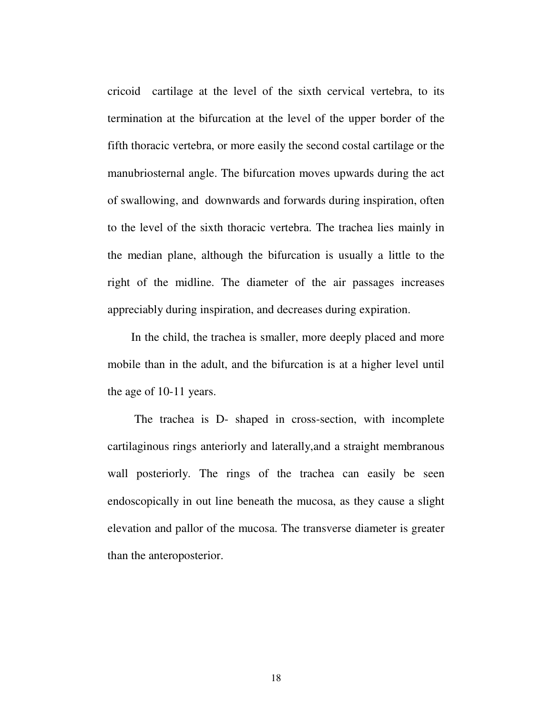cricoid cartilage at the level of the sixth cervical vertebra, to its termination at the bifurcation at the level of the upper border of the fifth thoracic vertebra, or more easily the second costal cartilage or the manubriosternal angle. The bifurcation moves upwards during the act of swallowing, and downwards and forwards during inspiration, often to the level of the sixth thoracic vertebra. The trachea lies mainly in the median plane, although the bifurcation is usually a little to the right of the midline. The diameter of the air passages increases appreciably during inspiration, and decreases during expiration.

In the child, the trachea is smaller, more deeply placed and more mobile than in the adult, and the bifurcation is at a higher level until the age of 10-11 years.

The trachea is D- shaped in cross-section, with incomplete cartilaginous rings anteriorly and laterally,and a straight membranous wall posteriorly. The rings of the trachea can easily be seen endoscopically in out line beneath the mucosa, as they cause a slight elevation and pallor of the mucosa. The transverse diameter is greater than the anteroposterior.

18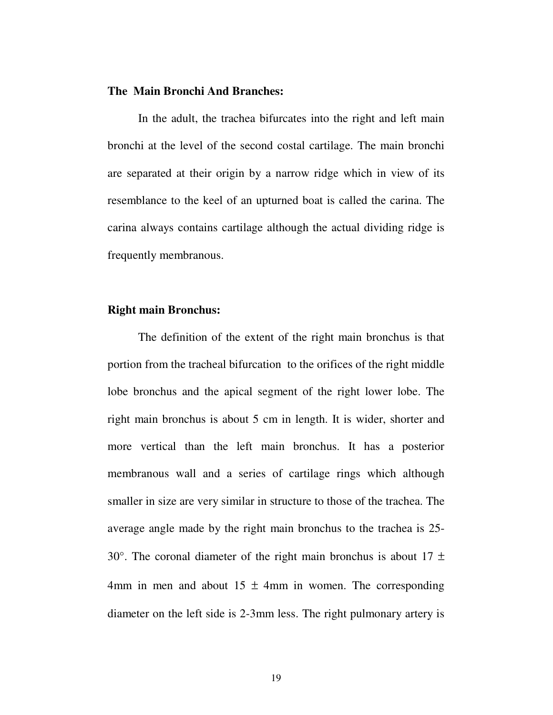#### **The Main Bronchi And Branches:**

In the adult, the trachea bifurcates into the right and left main bronchi at the level of the second costal cartilage. The main bronchi are separated at their origin by a narrow ridge which in view of its resemblance to the keel of an upturned boat is called the carina. The carina always contains cartilage although the actual dividing ridge is frequently membranous.

#### **Right main Bronchus:**

The definition of the extent of the right main bronchus is that portion from the tracheal bifurcation to the orifices of the right middle lobe bronchus and the apical segment of the right lower lobe. The right main bronchus is about 5 cm in length. It is wider, shorter and more vertical than the left main bronchus. It has a posterior membranous wall and a series of cartilage rings which although smaller in size are very similar in structure to those of the trachea. The average angle made by the right main bronchus to the trachea is 25- 30°. The coronal diameter of the right main bronchus is about  $17 \pm$ 4mm in men and about  $15 \pm 4$ mm in women. The corresponding diameter on the left side is 2-3mm less. The right pulmonary artery is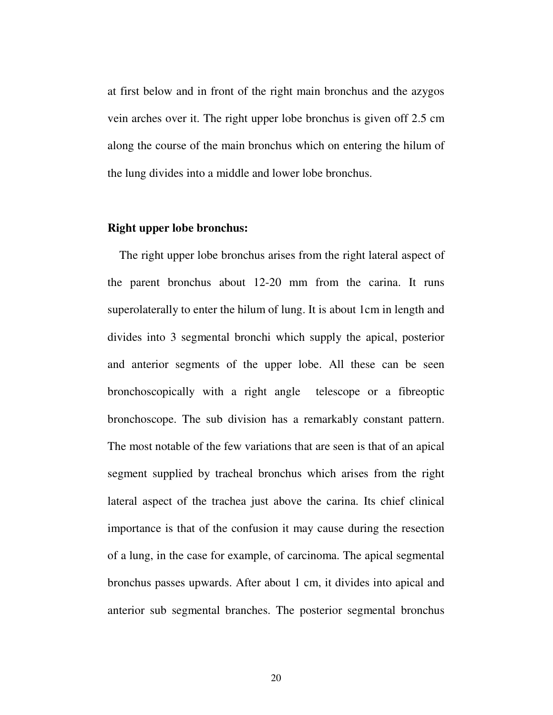at first below and in front of the right main bronchus and the azygos vein arches over it. The right upper lobe bronchus is given off 2.5 cm along the course of the main bronchus which on entering the hilum of the lung divides into a middle and lower lobe bronchus.

#### **Right upper lobe bronchus:**

The right upper lobe bronchus arises from the right lateral aspect of the parent bronchus about 12-20 mm from the carina. It runs superolaterally to enter the hilum of lung. It is about 1cm in length and divides into 3 segmental bronchi which supply the apical, posterior and anterior segments of the upper lobe. All these can be seen bronchoscopically with a right angle telescope or a fibreoptic bronchoscope. The sub division has a remarkably constant pattern. The most notable of the few variations that are seen is that of an apical segment supplied by tracheal bronchus which arises from the right lateral aspect of the trachea just above the carina. Its chief clinical importance is that of the confusion it may cause during the resection of a lung, in the case for example, of carcinoma. The apical segmental bronchus passes upwards. After about 1 cm, it divides into apical and anterior sub segmental branches. The posterior segmental bronchus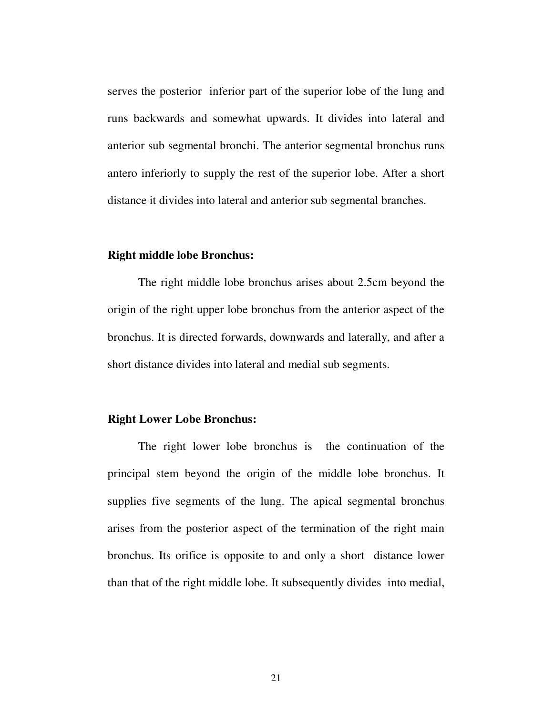serves the posterior inferior part of the superior lobe of the lung and runs backwards and somewhat upwards. It divides into lateral and anterior sub segmental bronchi. The anterior segmental bronchus runs antero inferiorly to supply the rest of the superior lobe. After a short distance it divides into lateral and anterior sub segmental branches.

#### **Right middle lobe Bronchus:**

The right middle lobe bronchus arises about 2.5cm beyond the origin of the right upper lobe bronchus from the anterior aspect of the bronchus. It is directed forwards, downwards and laterally, and after a short distance divides into lateral and medial sub segments.

#### **Right Lower Lobe Bronchus:**

The right lower lobe bronchus is the continuation of the principal stem beyond the origin of the middle lobe bronchus. It supplies five segments of the lung. The apical segmental bronchus arises from the posterior aspect of the termination of the right main bronchus. Its orifice is opposite to and only a short distance lower than that of the right middle lobe. It subsequently divides into medial,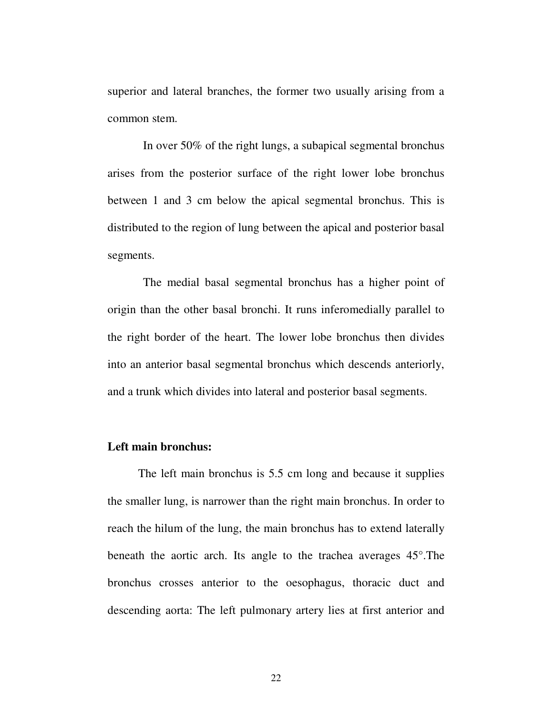superior and lateral branches, the former two usually arising from a common stem.

In over 50% of the right lungs, a subapical segmental bronchus arises from the posterior surface of the right lower lobe bronchus between 1 and 3 cm below the apical segmental bronchus. This is distributed to the region of lung between the apical and posterior basal segments.

The medial basal segmental bronchus has a higher point of origin than the other basal bronchi. It runs inferomedially parallel to the right border of the heart. The lower lobe bronchus then divides into an anterior basal segmental bronchus which descends anteriorly, and a trunk which divides into lateral and posterior basal segments.

#### **Left main bronchus:**

The left main bronchus is 5.5 cm long and because it supplies the smaller lung, is narrower than the right main bronchus. In order to reach the hilum of the lung, the main bronchus has to extend laterally beneath the aortic arch. Its angle to the trachea averages 45°.The bronchus crosses anterior to the oesophagus, thoracic duct and descending aorta: The left pulmonary artery lies at first anterior and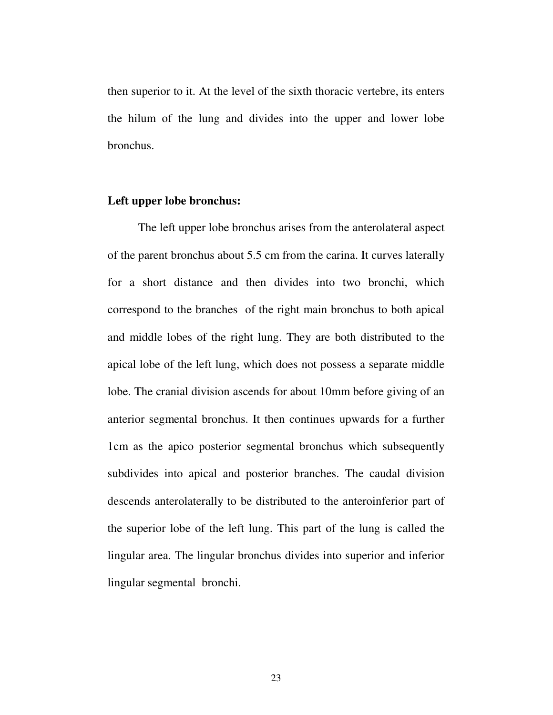then superior to it. At the level of the sixth thoracic vertebre, its enters the hilum of the lung and divides into the upper and lower lobe bronchus.

#### **Left upper lobe bronchus:**

The left upper lobe bronchus arises from the anterolateral aspect of the parent bronchus about 5.5 cm from the carina. It curves laterally for a short distance and then divides into two bronchi, which correspond to the branches of the right main bronchus to both apical and middle lobes of the right lung. They are both distributed to the apical lobe of the left lung, which does not possess a separate middle lobe. The cranial division ascends for about 10mm before giving of an anterior segmental bronchus. It then continues upwards for a further 1cm as the apico posterior segmental bronchus which subsequently subdivides into apical and posterior branches. The caudal division descends anterolaterally to be distributed to the anteroinferior part of the superior lobe of the left lung. This part of the lung is called the lingular area. The lingular bronchus divides into superior and inferior lingular segmental bronchi.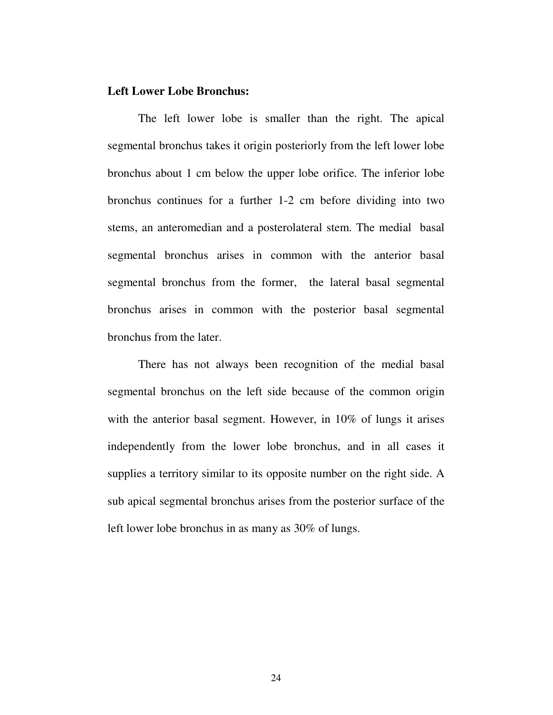#### **Left Lower Lobe Bronchus:**

The left lower lobe is smaller than the right. The apical segmental bronchus takes it origin posteriorly from the left lower lobe bronchus about 1 cm below the upper lobe orifice. The inferior lobe bronchus continues for a further 1-2 cm before dividing into two stems, an anteromedian and a posterolateral stem. The medial basal segmental bronchus arises in common with the anterior basal segmental bronchus from the former, the lateral basal segmental bronchus arises in common with the posterior basal segmental bronchus from the later.

There has not always been recognition of the medial basal segmental bronchus on the left side because of the common origin with the anterior basal segment. However, in 10% of lungs it arises independently from the lower lobe bronchus, and in all cases it supplies a territory similar to its opposite number on the right side. A sub apical segmental bronchus arises from the posterior surface of the left lower lobe bronchus in as many as 30% of lungs.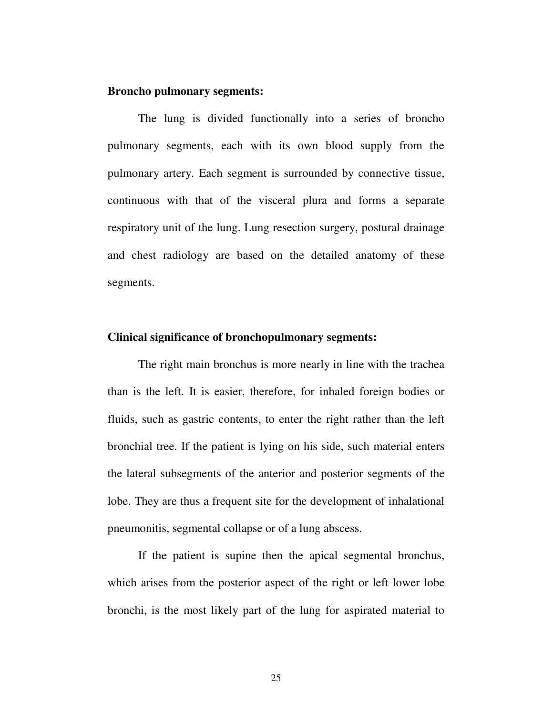#### **Broncho pulmonary segments:**

The lung is divided functionally into a series of broncho pulmonary segments, each with its own blood supply from the pulmonary artery. Each segment is surrounded by connective tissue, continuous with that of the visceral plura and forms a separate respiratory unit of the lung. Lung resection surgery, postural drainage and chest radiology are based on the detailed anatomy of these segments.

#### **Clinical significance of bronchopulmonary segments:**

The right main bronchus is more nearly in line with the trachea than is the left. It is easier, therefore, for inhaled foreign bodies or fluids, such as gastric contents, to enter the right rather than the left bronchial tree. If the patient is lying on his side, such material enters the lateral subsegments of the anterior and posterior segments of the lobe. They are thus a frequent site for the development of inhalational pneumonitis, segmental collapse or of a lung abscess.

If the patient is supine then the apical segmental bronchus, which arises from the posterior aspect of the right or left lower lobe bronchi, is the most likely part of the lung for aspirated material to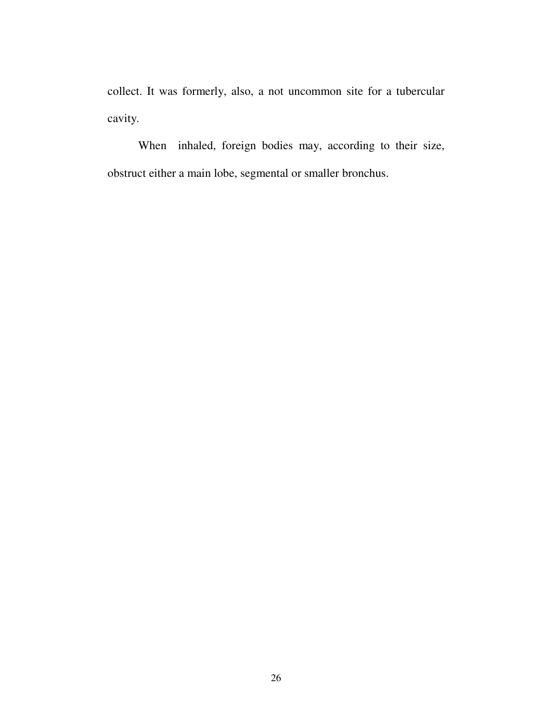collect. It was formerly, also, a not uncommon site for a tubercular cavity.

When inhaled, foreign bodies may, according to their size, obstruct either a main lobe, segmental or smaller bronchus.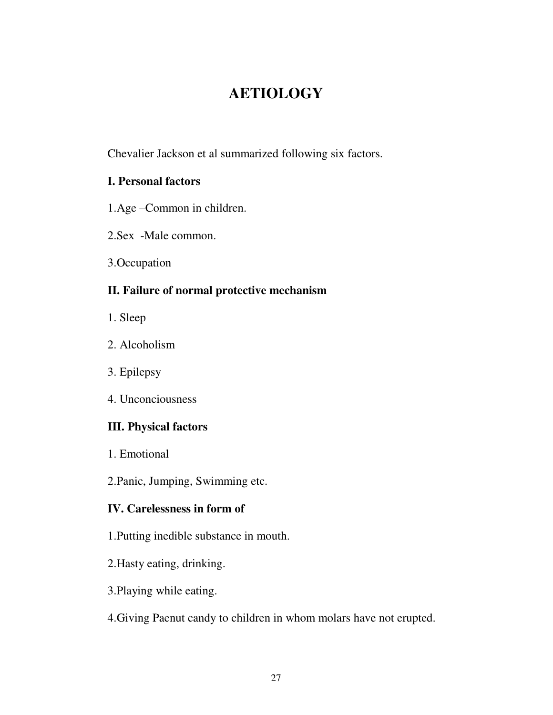# **AETIOLOGY**

Chevalier Jackson et al summarized following six factors.

## **I. Personal factors**

- 1.Age –Common in children.
- 2.Sex -Male common.
- 3.Occupation

## **II. Failure of normal protective mechanism**

- 1. Sleep
- 2. Alcoholism
- 3. Epilepsy
- 4. Unconciousness

## **III. Physical factors**

- 1. Emotional
- 2.Panic, Jumping, Swimming etc.

## **IV. Carelessness in form of**

- 1.Putting inedible substance in mouth.
- 2.Hasty eating, drinking.
- 3.Playing while eating.
- 4.Giving Paenut candy to children in whom molars have not erupted.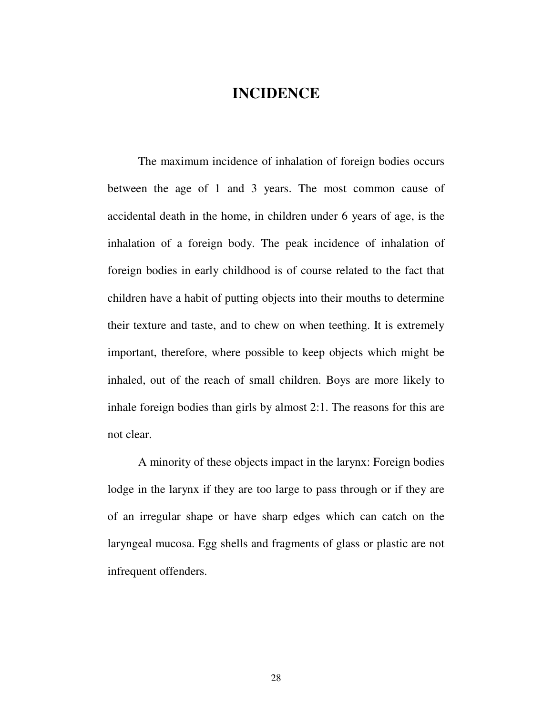## **INCIDENCE**

The maximum incidence of inhalation of foreign bodies occurs between the age of 1 and 3 years. The most common cause of accidental death in the home, in children under 6 years of age, is the inhalation of a foreign body. The peak incidence of inhalation of foreign bodies in early childhood is of course related to the fact that children have a habit of putting objects into their mouths to determine their texture and taste, and to chew on when teething. It is extremely important, therefore, where possible to keep objects which might be inhaled, out of the reach of small children. Boys are more likely to inhale foreign bodies than girls by almost 2:1. The reasons for this are not clear.

A minority of these objects impact in the larynx: Foreign bodies lodge in the larynx if they are too large to pass through or if they are of an irregular shape or have sharp edges which can catch on the laryngeal mucosa. Egg shells and fragments of glass or plastic are not infrequent offenders.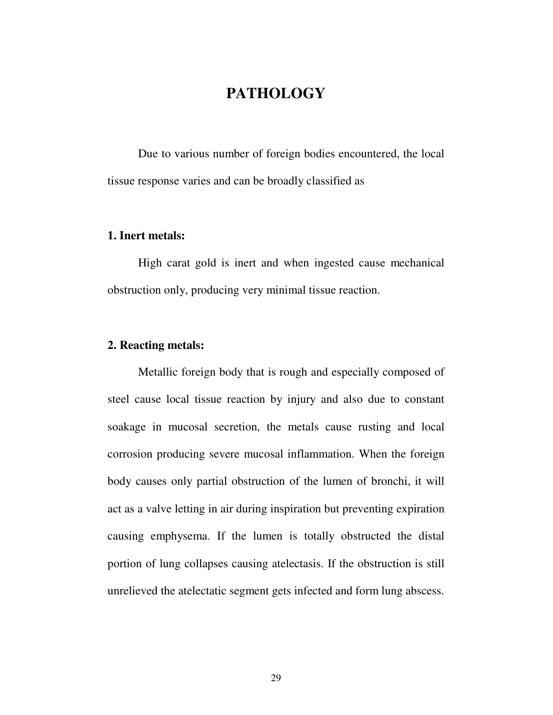# **PATHOLOGY**

Due to various number of foreign bodies encountered, the local tissue response varies and can be broadly classified as

#### **1. Inert metals:**

High carat gold is inert and when ingested cause mechanical obstruction only, producing very minimal tissue reaction.

#### **2. Reacting metals:**

Metallic foreign body that is rough and especially composed of steel cause local tissue reaction by injury and also due to constant soakage in mucosal secretion, the metals cause rusting and local corrosion producing severe mucosal inflammation. When the foreign body causes only partial obstruction of the lumen of bronchi, it will act as a valve letting in air during inspiration but preventing expiration causing emphysema. If the lumen is totally obstructed the distal portion of lung collapses causing atelectasis. If the obstruction is still unrelieved the atelectatic segment gets infected and form lung abscess.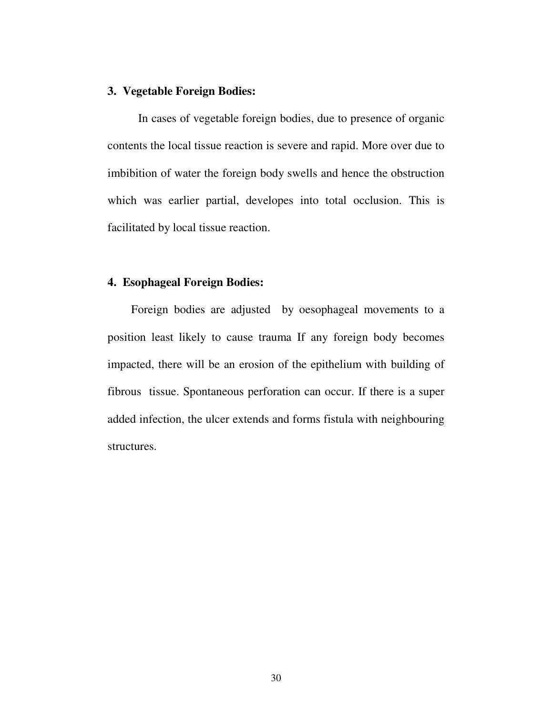#### **3. Vegetable Foreign Bodies:**

In cases of vegetable foreign bodies, due to presence of organic contents the local tissue reaction is severe and rapid. More over due to imbibition of water the foreign body swells and hence the obstruction which was earlier partial, developes into total occlusion. This is facilitated by local tissue reaction.

#### **4. Esophageal Foreign Bodies:**

Foreign bodies are adjusted by oesophageal movements to a position least likely to cause trauma If any foreign body becomes impacted, there will be an erosion of the epithelium with building of fibrous tissue. Spontaneous perforation can occur. If there is a super added infection, the ulcer extends and forms fistula with neighbouring structures.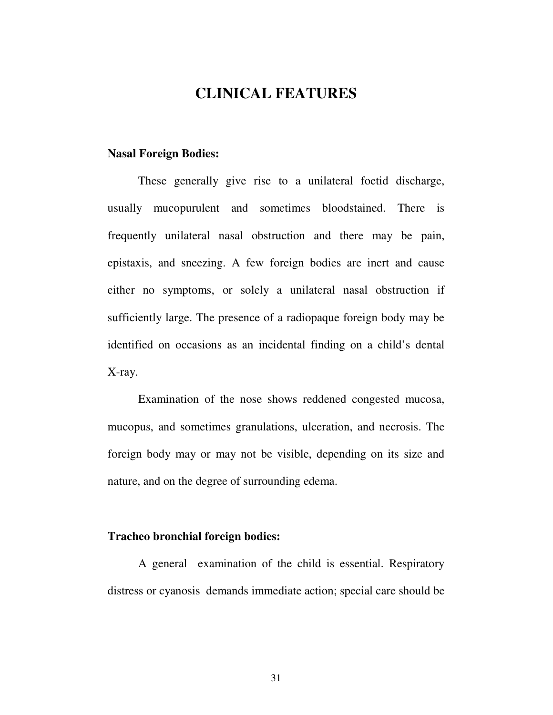## **CLINICAL FEATURES**

#### **Nasal Foreign Bodies:**

These generally give rise to a unilateral foetid discharge, usually mucopurulent and sometimes bloodstained. There is frequently unilateral nasal obstruction and there may be pain, epistaxis, and sneezing. A few foreign bodies are inert and cause either no symptoms, or solely a unilateral nasal obstruction if sufficiently large. The presence of a radiopaque foreign body may be identified on occasions as an incidental finding on a child's dental X-ray.

Examination of the nose shows reddened congested mucosa, mucopus, and sometimes granulations, ulceration, and necrosis. The foreign body may or may not be visible, depending on its size and nature, and on the degree of surrounding edema.

#### **Tracheo bronchial foreign bodies:**

A general examination of the child is essential. Respiratory distress or cyanosis demands immediate action; special care should be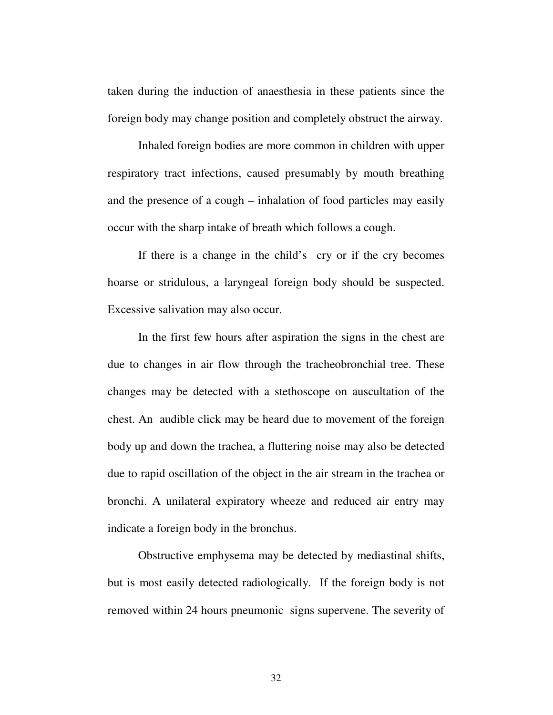taken during the induction of anaesthesia in these patients since the foreign body may change position and completely obstruct the airway.

Inhaled foreign bodies are more common in children with upper respiratory tract infections, caused presumably by mouth breathing and the presence of a cough – inhalation of food particles may easily occur with the sharp intake of breath which follows a cough.

If there is a change in the child's cry or if the cry becomes hoarse or stridulous, a laryngeal foreign body should be suspected. Excessive salivation may also occur.

In the first few hours after aspiration the signs in the chest are due to changes in air flow through the tracheobronchial tree. These changes may be detected with a stethoscope on auscultation of the chest. An audible click may be heard due to movement of the foreign body up and down the trachea, a fluttering noise may also be detected due to rapid oscillation of the object in the air stream in the trachea or bronchi. A unilateral expiratory wheeze and reduced air entry may indicate a foreign body in the bronchus.

Obstructive emphysema may be detected by mediastinal shifts, but is most easily detected radiologically. If the foreign body is not removed within 24 hours pneumonic signs supervene. The severity of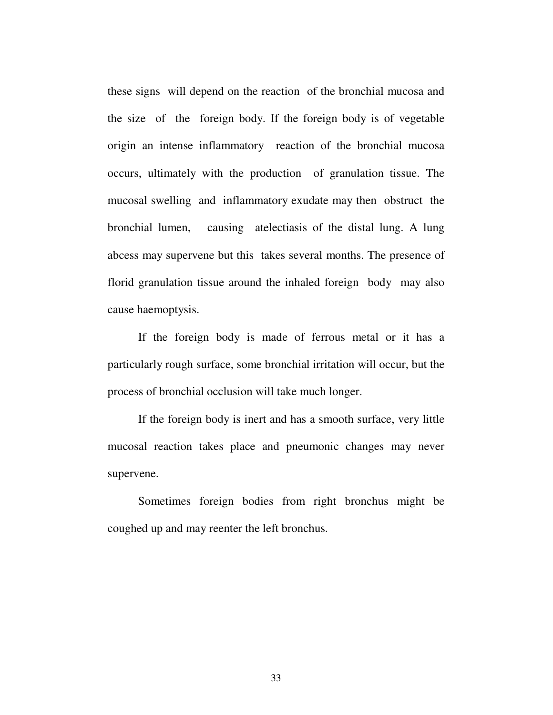these signs will depend on the reaction of the bronchial mucosa and the size of the foreign body. If the foreign body is of vegetable origin an intense inflammatory reaction of the bronchial mucosa occurs, ultimately with the production of granulation tissue. The mucosal swelling and inflammatory exudate may then obstruct the bronchial lumen, causing atelectiasis of the distal lung. A lung abcess may supervene but this takes several months. The presence of florid granulation tissue around the inhaled foreign body may also cause haemoptysis.

If the foreign body is made of ferrous metal or it has a particularly rough surface, some bronchial irritation will occur, but the process of bronchial occlusion will take much longer.

If the foreign body is inert and has a smooth surface, very little mucosal reaction takes place and pneumonic changes may never supervene.

Sometimes foreign bodies from right bronchus might be coughed up and may reenter the left bronchus.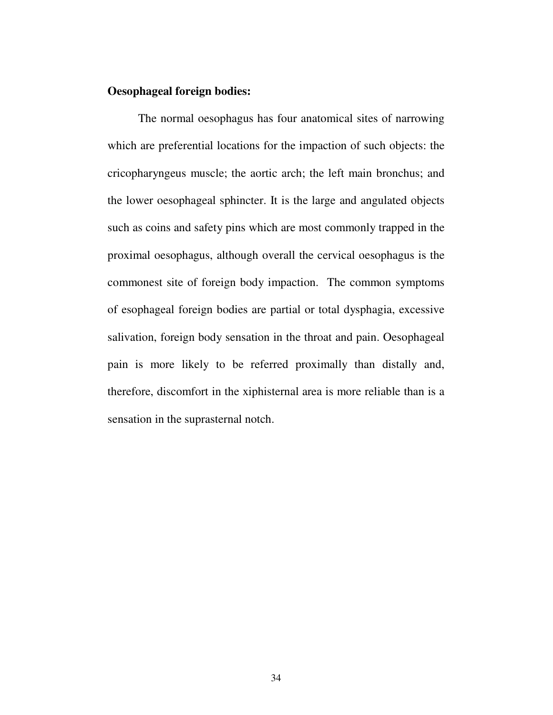## **Oesophageal foreign bodies:**

The normal oesophagus has four anatomical sites of narrowing which are preferential locations for the impaction of such objects: the cricopharyngeus muscle; the aortic arch; the left main bronchus; and the lower oesophageal sphincter. It is the large and angulated objects such as coins and safety pins which are most commonly trapped in the proximal oesophagus, although overall the cervical oesophagus is the commonest site of foreign body impaction. The common symptoms of esophageal foreign bodies are partial or total dysphagia, excessive salivation, foreign body sensation in the throat and pain. Oesophageal pain is more likely to be referred proximally than distally and, therefore, discomfort in the xiphisternal area is more reliable than is a sensation in the suprasternal notch.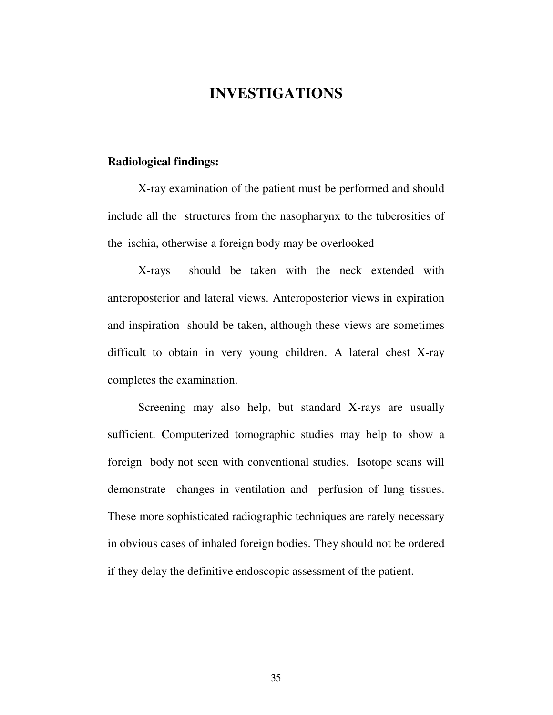# **INVESTIGATIONS**

#### **Radiological findings:**

X-ray examination of the patient must be performed and should include all the structures from the nasopharynx to the tuberosities of the ischia, otherwise a foreign body may be overlooked

X-rays should be taken with the neck extended with anteroposterior and lateral views. Anteroposterior views in expiration and inspiration should be taken, although these views are sometimes difficult to obtain in very young children. A lateral chest X-ray completes the examination.

Screening may also help, but standard X-rays are usually sufficient. Computerized tomographic studies may help to show a foreign body not seen with conventional studies. Isotope scans will demonstrate changes in ventilation and perfusion of lung tissues. These more sophisticated radiographic techniques are rarely necessary in obvious cases of inhaled foreign bodies. They should not be ordered if they delay the definitive endoscopic assessment of the patient.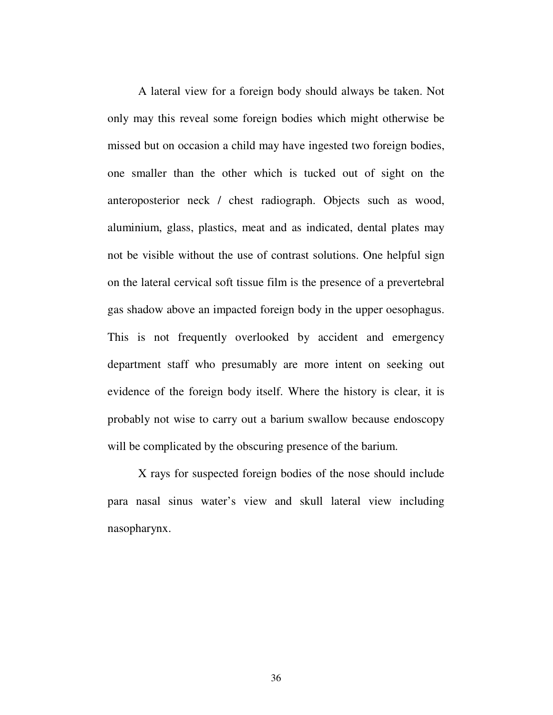A lateral view for a foreign body should always be taken. Not only may this reveal some foreign bodies which might otherwise be missed but on occasion a child may have ingested two foreign bodies, one smaller than the other which is tucked out of sight on the anteroposterior neck / chest radiograph. Objects such as wood, aluminium, glass, plastics, meat and as indicated, dental plates may not be visible without the use of contrast solutions. One helpful sign on the lateral cervical soft tissue film is the presence of a prevertebral gas shadow above an impacted foreign body in the upper oesophagus. This is not frequently overlooked by accident and emergency department staff who presumably are more intent on seeking out evidence of the foreign body itself. Where the history is clear, it is probably not wise to carry out a barium swallow because endoscopy will be complicated by the obscuring presence of the barium.

X rays for suspected foreign bodies of the nose should include para nasal sinus water's view and skull lateral view including nasopharynx.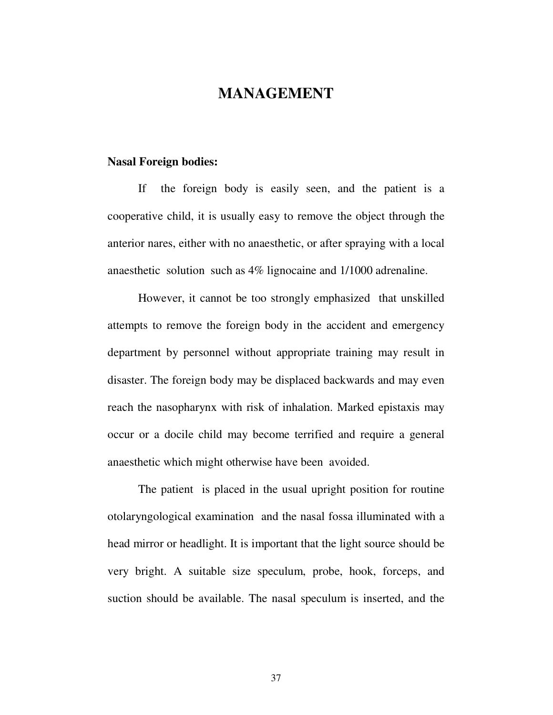## **MANAGEMENT**

#### **Nasal Foreign bodies:**

If the foreign body is easily seen, and the patient is a cooperative child, it is usually easy to remove the object through the anterior nares, either with no anaesthetic, or after spraying with a local anaesthetic solution such as 4% lignocaine and 1/1000 adrenaline.

However, it cannot be too strongly emphasized that unskilled attempts to remove the foreign body in the accident and emergency department by personnel without appropriate training may result in disaster. The foreign body may be displaced backwards and may even reach the nasopharynx with risk of inhalation. Marked epistaxis may occur or a docile child may become terrified and require a general anaesthetic which might otherwise have been avoided.

The patient is placed in the usual upright position for routine otolaryngological examination and the nasal fossa illuminated with a head mirror or headlight. It is important that the light source should be very bright. A suitable size speculum, probe, hook, forceps, and suction should be available. The nasal speculum is inserted, and the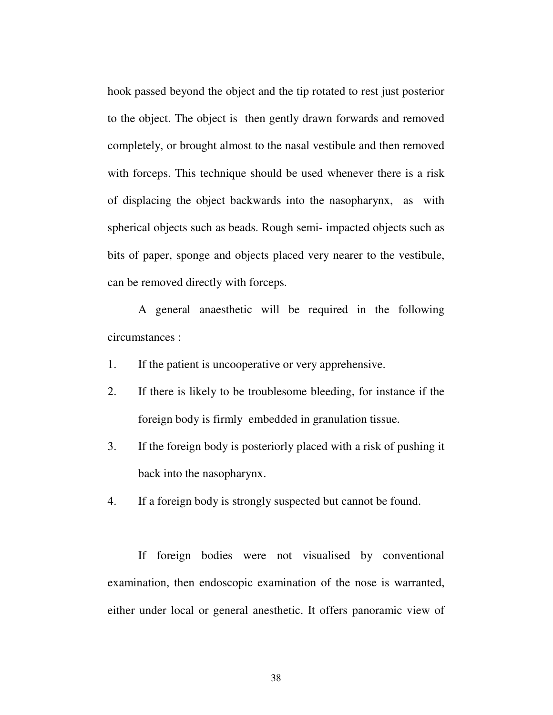hook passed beyond the object and the tip rotated to rest just posterior to the object. The object is then gently drawn forwards and removed completely, or brought almost to the nasal vestibule and then removed with forceps. This technique should be used whenever there is a risk of displacing the object backwards into the nasopharynx, as with spherical objects such as beads. Rough semi- impacted objects such as bits of paper, sponge and objects placed very nearer to the vestibule, can be removed directly with forceps.

A general anaesthetic will be required in the following circumstances :

1. If the patient is uncooperative or very apprehensive.

- 2. If there is likely to be troublesome bleeding, for instance if the foreign body is firmly embedded in granulation tissue.
- 3. If the foreign body is posteriorly placed with a risk of pushing it back into the nasopharynx.

4. If a foreign body is strongly suspected but cannot be found.

If foreign bodies were not visualised by conventional examination, then endoscopic examination of the nose is warranted, either under local or general anesthetic. It offers panoramic view of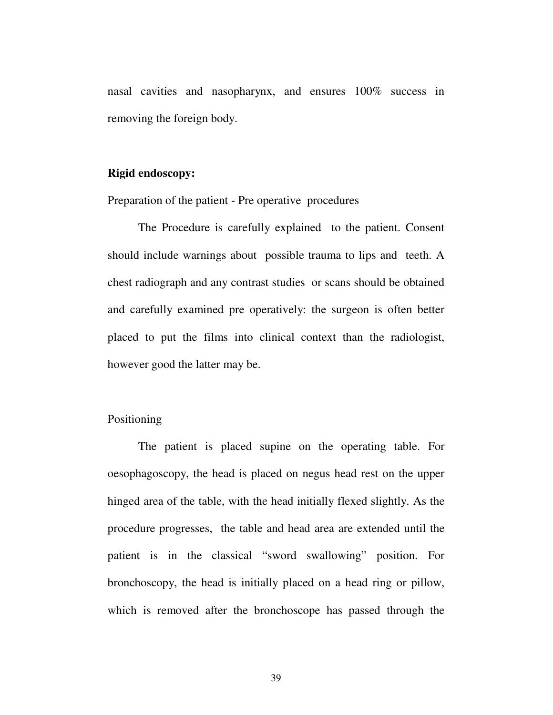nasal cavities and nasopharynx, and ensures 100% success in removing the foreign body.

#### **Rigid endoscopy:**

Preparation of the patient - Pre operative procedures

The Procedure is carefully explained to the patient. Consent should include warnings about possible trauma to lips and teeth. A chest radiograph and any contrast studies or scans should be obtained and carefully examined pre operatively: the surgeon is often better placed to put the films into clinical context than the radiologist, however good the latter may be.

#### Positioning

The patient is placed supine on the operating table. For oesophagoscopy, the head is placed on negus head rest on the upper hinged area of the table, with the head initially flexed slightly. As the procedure progresses, the table and head area are extended until the patient is in the classical "sword swallowing" position. For bronchoscopy, the head is initially placed on a head ring or pillow, which is removed after the bronchoscope has passed through the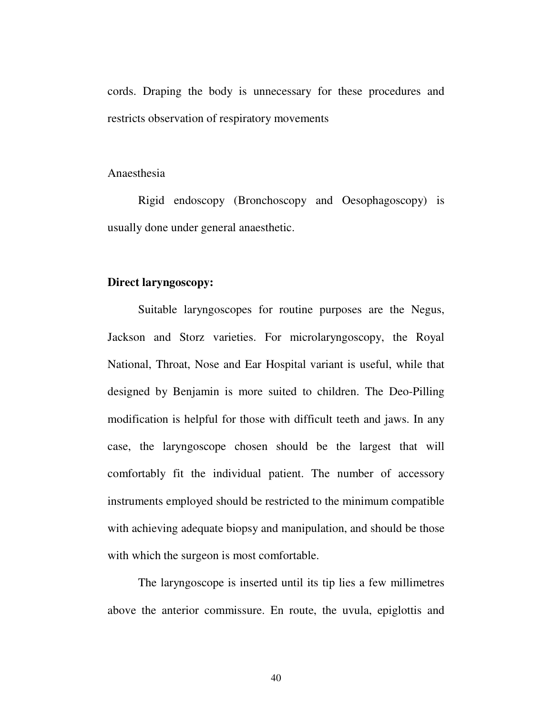cords. Draping the body is unnecessary for these procedures and restricts observation of respiratory movements

#### Anaesthesia

Rigid endoscopy (Bronchoscopy and Oesophagoscopy) is usually done under general anaesthetic.

#### **Direct laryngoscopy:**

Suitable laryngoscopes for routine purposes are the Negus, Jackson and Storz varieties. For microlaryngoscopy, the Royal National, Throat, Nose and Ear Hospital variant is useful, while that designed by Benjamin is more suited to children. The Deo-Pilling modification is helpful for those with difficult teeth and jaws. In any case, the laryngoscope chosen should be the largest that will comfortably fit the individual patient. The number of accessory instruments employed should be restricted to the minimum compatible with achieving adequate biopsy and manipulation, and should be those with which the surgeon is most comfortable.

The laryngoscope is inserted until its tip lies a few millimetres above the anterior commissure. En route, the uvula, epiglottis and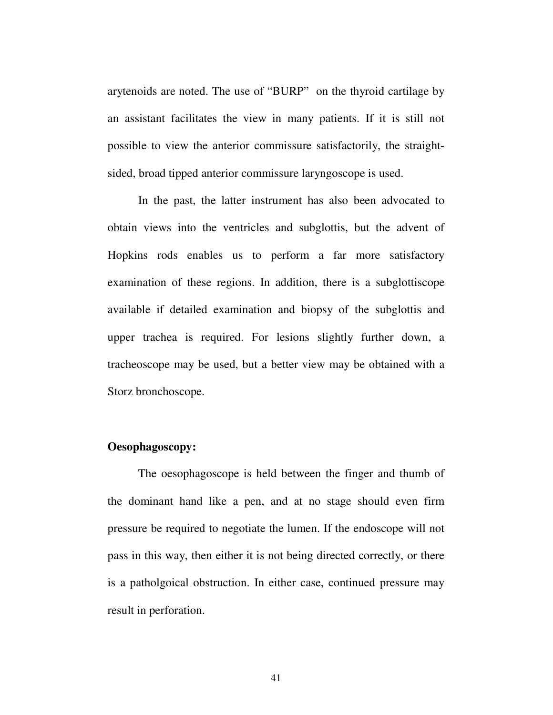arytenoids are noted. The use of "BURP" on the thyroid cartilage by an assistant facilitates the view in many patients. If it is still not possible to view the anterior commissure satisfactorily, the straightsided, broad tipped anterior commissure laryngoscope is used.

In the past, the latter instrument has also been advocated to obtain views into the ventricles and subglottis, but the advent of Hopkins rods enables us to perform a far more satisfactory examination of these regions. In addition, there is a subglottiscope available if detailed examination and biopsy of the subglottis and upper trachea is required. For lesions slightly further down, a tracheoscope may be used, but a better view may be obtained with a Storz bronchoscope.

### **Oesophagoscopy:**

The oesophagoscope is held between the finger and thumb of the dominant hand like a pen, and at no stage should even firm pressure be required to negotiate the lumen. If the endoscope will not pass in this way, then either it is not being directed correctly, or there is a patholgoical obstruction. In either case, continued pressure may result in perforation.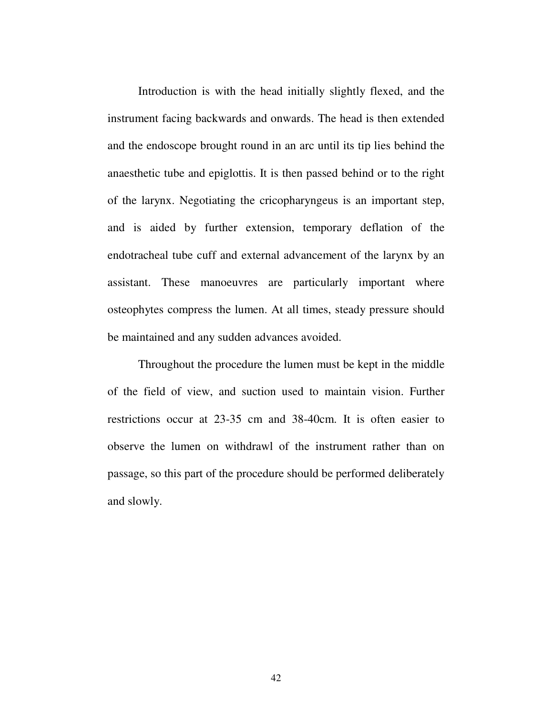Introduction is with the head initially slightly flexed, and the instrument facing backwards and onwards. The head is then extended and the endoscope brought round in an arc until its tip lies behind the anaesthetic tube and epiglottis. It is then passed behind or to the right of the larynx. Negotiating the cricopharyngeus is an important step, and is aided by further extension, temporary deflation of the endotracheal tube cuff and external advancement of the larynx by an assistant. These manoeuvres are particularly important where osteophytes compress the lumen. At all times, steady pressure should be maintained and any sudden advances avoided.

Throughout the procedure the lumen must be kept in the middle of the field of view, and suction used to maintain vision. Further restrictions occur at 23-35 cm and 38-40cm. It is often easier to observe the lumen on withdrawl of the instrument rather than on passage, so this part of the procedure should be performed deliberately and slowly.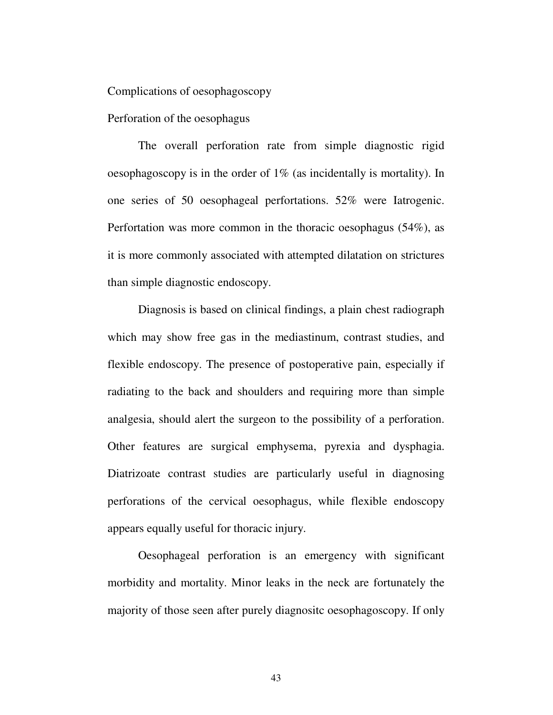Complications of oesophagoscopy

Perforation of the oesophagus

The overall perforation rate from simple diagnostic rigid oesophagoscopy is in the order of 1% (as incidentally is mortality). In one series of 50 oesophageal perfortations. 52% were Iatrogenic. Perfortation was more common in the thoracic oesophagus (54%), as it is more commonly associated with attempted dilatation on strictures than simple diagnostic endoscopy.

Diagnosis is based on clinical findings, a plain chest radiograph which may show free gas in the mediastinum, contrast studies, and flexible endoscopy. The presence of postoperative pain, especially if radiating to the back and shoulders and requiring more than simple analgesia, should alert the surgeon to the possibility of a perforation. Other features are surgical emphysema, pyrexia and dysphagia. Diatrizoate contrast studies are particularly useful in diagnosing perforations of the cervical oesophagus, while flexible endoscopy appears equally useful for thoracic injury.

Oesophageal perforation is an emergency with significant morbidity and mortality. Minor leaks in the neck are fortunately the majority of those seen after purely diagnositc oesophagoscopy. If only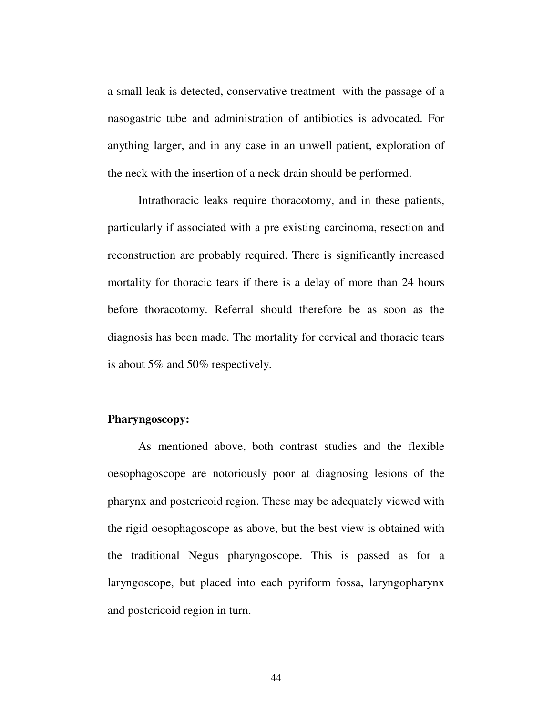a small leak is detected, conservative treatment with the passage of a nasogastric tube and administration of antibiotics is advocated. For anything larger, and in any case in an unwell patient, exploration of the neck with the insertion of a neck drain should be performed.

Intrathoracic leaks require thoracotomy, and in these patients, particularly if associated with a pre existing carcinoma, resection and reconstruction are probably required. There is significantly increased mortality for thoracic tears if there is a delay of more than 24 hours before thoracotomy. Referral should therefore be as soon as the diagnosis has been made. The mortality for cervical and thoracic tears is about 5% and 50% respectively.

### **Pharyngoscopy:**

As mentioned above, both contrast studies and the flexible oesophagoscope are notoriously poor at diagnosing lesions of the pharynx and postcricoid region. These may be adequately viewed with the rigid oesophagoscope as above, but the best view is obtained with the traditional Negus pharyngoscope. This is passed as for a laryngoscope, but placed into each pyriform fossa, laryngopharynx and postcricoid region in turn.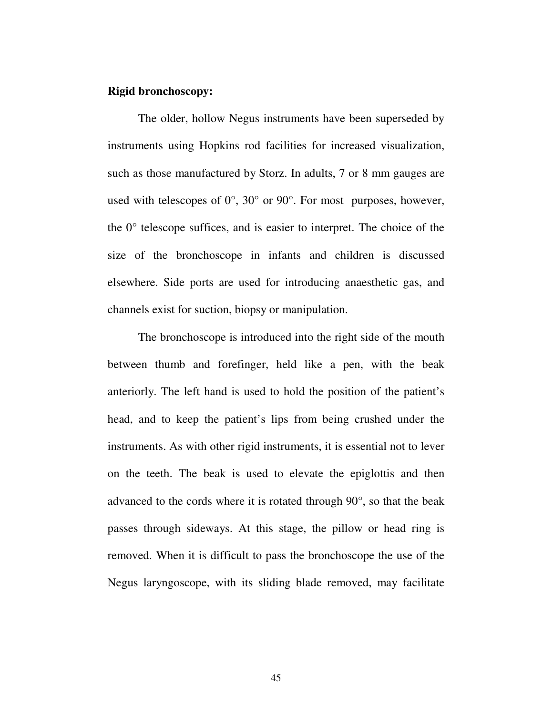#### **Rigid bronchoscopy:**

The older, hollow Negus instruments have been superseded by instruments using Hopkins rod facilities for increased visualization, such as those manufactured by Storz. In adults, 7 or 8 mm gauges are used with telescopes of 0°, 30° or 90°. For most purposes, however, the 0° telescope suffices, and is easier to interpret. The choice of the size of the bronchoscope in infants and children is discussed elsewhere. Side ports are used for introducing anaesthetic gas, and channels exist for suction, biopsy or manipulation.

The bronchoscope is introduced into the right side of the mouth between thumb and forefinger, held like a pen, with the beak anteriorly. The left hand is used to hold the position of the patient's head, and to keep the patient's lips from being crushed under the instruments. As with other rigid instruments, it is essential not to lever on the teeth. The beak is used to elevate the epiglottis and then advanced to the cords where it is rotated through 90°, so that the beak passes through sideways. At this stage, the pillow or head ring is removed. When it is difficult to pass the bronchoscope the use of the Negus laryngoscope, with its sliding blade removed, may facilitate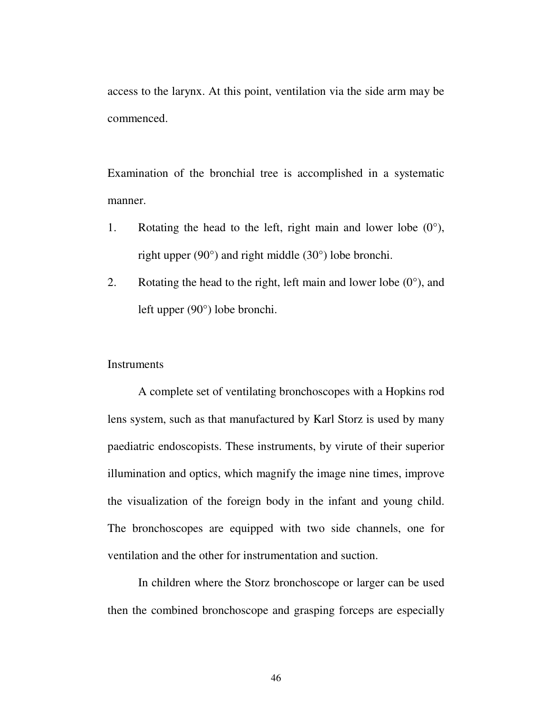access to the larynx. At this point, ventilation via the side arm may be commenced.

Examination of the bronchial tree is accomplished in a systematic manner.

- 1. Rotating the head to the left, right main and lower lobe  $(0^{\circ})$ , right upper (90°) and right middle (30°) lobe bronchi.
- 2. Rotating the head to the right, left main and lower lobe  $(0^{\circ})$ , and left upper (90°) lobe bronchi.

#### **Instruments**

A complete set of ventilating bronchoscopes with a Hopkins rod lens system, such as that manufactured by Karl Storz is used by many paediatric endoscopists. These instruments, by virute of their superior illumination and optics, which magnify the image nine times, improve the visualization of the foreign body in the infant and young child. The bronchoscopes are equipped with two side channels, one for ventilation and the other for instrumentation and suction.

In children where the Storz bronchoscope or larger can be used then the combined bronchoscope and grasping forceps are especially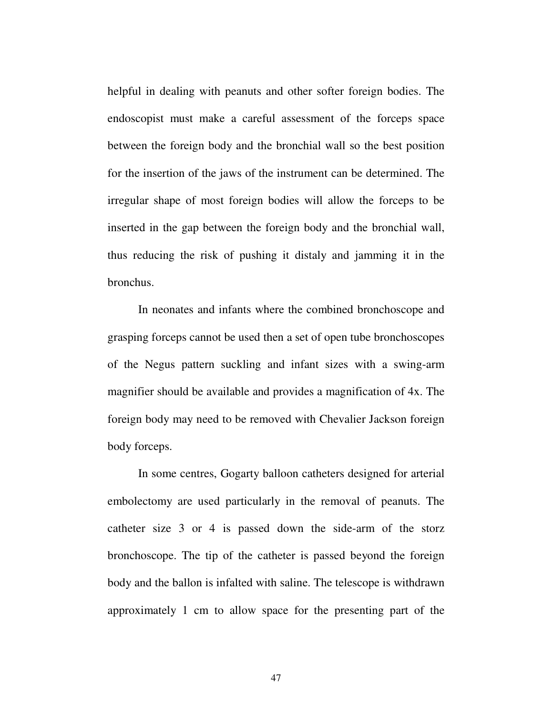helpful in dealing with peanuts and other softer foreign bodies. The endoscopist must make a careful assessment of the forceps space between the foreign body and the bronchial wall so the best position for the insertion of the jaws of the instrument can be determined. The irregular shape of most foreign bodies will allow the forceps to be inserted in the gap between the foreign body and the bronchial wall, thus reducing the risk of pushing it distaly and jamming it in the bronchus.

In neonates and infants where the combined bronchoscope and grasping forceps cannot be used then a set of open tube bronchoscopes of the Negus pattern suckling and infant sizes with a swing-arm magnifier should be available and provides a magnification of 4x. The foreign body may need to be removed with Chevalier Jackson foreign body forceps.

In some centres, Gogarty balloon catheters designed for arterial embolectomy are used particularly in the removal of peanuts. The catheter size 3 or 4 is passed down the side-arm of the storz bronchoscope. The tip of the catheter is passed beyond the foreign body and the ballon is infalted with saline. The telescope is withdrawn approximately 1 cm to allow space for the presenting part of the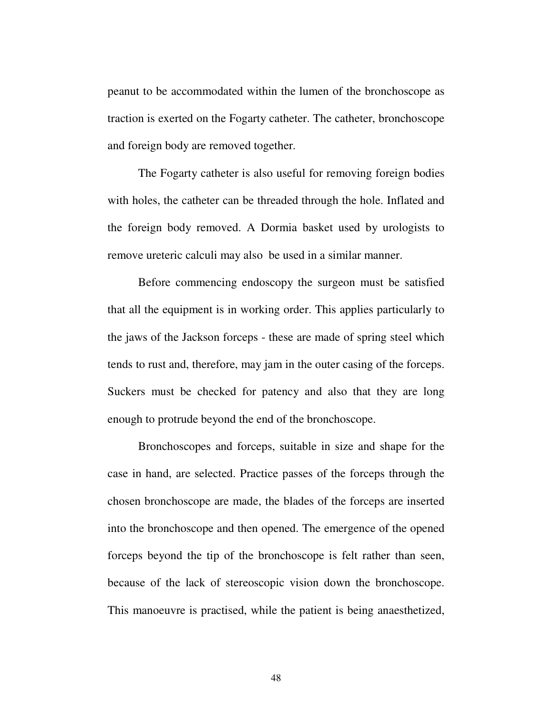peanut to be accommodated within the lumen of the bronchoscope as traction is exerted on the Fogarty catheter. The catheter, bronchoscope and foreign body are removed together.

The Fogarty catheter is also useful for removing foreign bodies with holes, the catheter can be threaded through the hole. Inflated and the foreign body removed. A Dormia basket used by urologists to remove ureteric calculi may also be used in a similar manner.

Before commencing endoscopy the surgeon must be satisfied that all the equipment is in working order. This applies particularly to the jaws of the Jackson forceps - these are made of spring steel which tends to rust and, therefore, may jam in the outer casing of the forceps. Suckers must be checked for patency and also that they are long enough to protrude beyond the end of the bronchoscope.

Bronchoscopes and forceps, suitable in size and shape for the case in hand, are selected. Practice passes of the forceps through the chosen bronchoscope are made, the blades of the forceps are inserted into the bronchoscope and then opened. The emergence of the opened forceps beyond the tip of the bronchoscope is felt rather than seen, because of the lack of stereoscopic vision down the bronchoscope. This manoeuvre is practised, while the patient is being anaesthetized,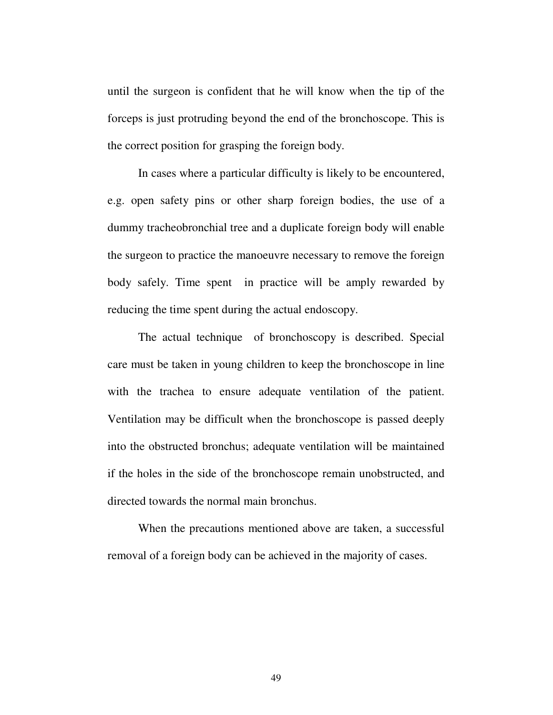until the surgeon is confident that he will know when the tip of the forceps is just protruding beyond the end of the bronchoscope. This is the correct position for grasping the foreign body.

In cases where a particular difficulty is likely to be encountered, e.g. open safety pins or other sharp foreign bodies, the use of a dummy tracheobronchial tree and a duplicate foreign body will enable the surgeon to practice the manoeuvre necessary to remove the foreign body safely. Time spent in practice will be amply rewarded by reducing the time spent during the actual endoscopy.

The actual technique of bronchoscopy is described. Special care must be taken in young children to keep the bronchoscope in line with the trachea to ensure adequate ventilation of the patient. Ventilation may be difficult when the bronchoscope is passed deeply into the obstructed bronchus; adequate ventilation will be maintained if the holes in the side of the bronchoscope remain unobstructed, and directed towards the normal main bronchus.

When the precautions mentioned above are taken, a successful removal of a foreign body can be achieved in the majority of cases.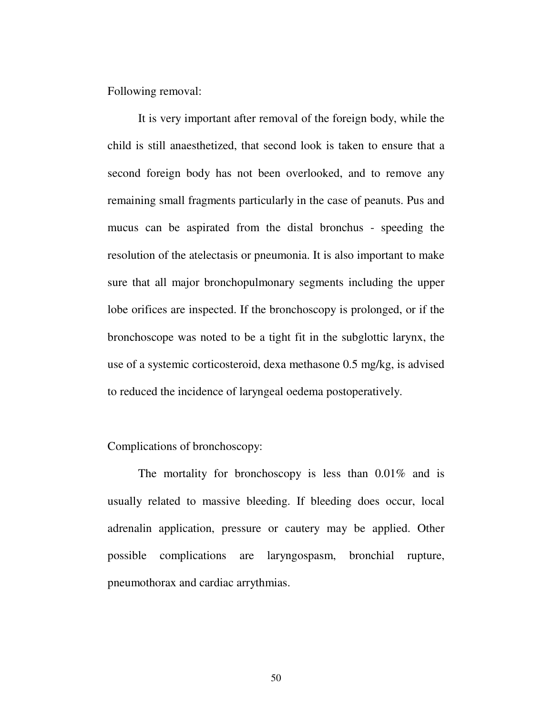Following removal:

It is very important after removal of the foreign body, while the child is still anaesthetized, that second look is taken to ensure that a second foreign body has not been overlooked, and to remove any remaining small fragments particularly in the case of peanuts. Pus and mucus can be aspirated from the distal bronchus - speeding the resolution of the atelectasis or pneumonia. It is also important to make sure that all major bronchopulmonary segments including the upper lobe orifices are inspected. If the bronchoscopy is prolonged, or if the bronchoscope was noted to be a tight fit in the subglottic larynx, the use of a systemic corticosteroid, dexa methasone 0.5 mg/kg, is advised to reduced the incidence of laryngeal oedema postoperatively.

### Complications of bronchoscopy:

The mortality for bronchoscopy is less than 0.01% and is usually related to massive bleeding. If bleeding does occur, local adrenalin application, pressure or cautery may be applied. Other possible complications are laryngospasm, bronchial rupture, pneumothorax and cardiac arrythmias.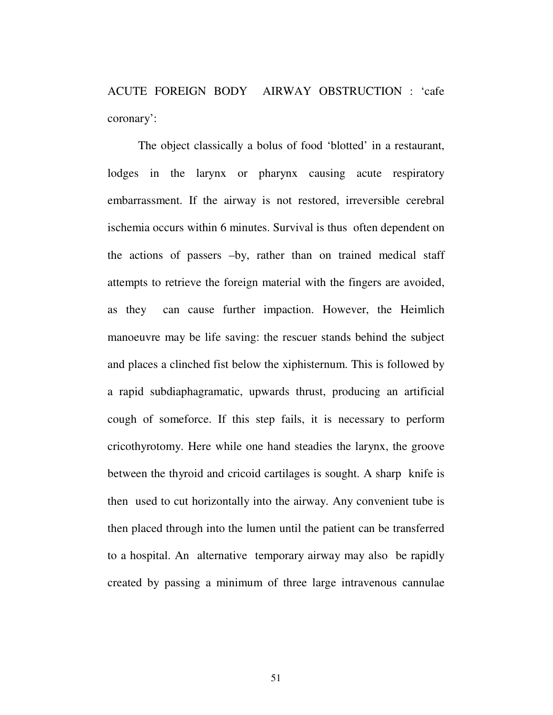ACUTE FOREIGN BODY AIRWAY OBSTRUCTION : 'cafe coronary':

The object classically a bolus of food 'blotted' in a restaurant, lodges in the larynx or pharynx causing acute respiratory embarrassment. If the airway is not restored, irreversible cerebral ischemia occurs within 6 minutes. Survival is thus often dependent on the actions of passers –by, rather than on trained medical staff attempts to retrieve the foreign material with the fingers are avoided, as they can cause further impaction. However, the Heimlich manoeuvre may be life saving: the rescuer stands behind the subject and places a clinched fist below the xiphisternum. This is followed by a rapid subdiaphagramatic, upwards thrust, producing an artificial cough of someforce. If this step fails, it is necessary to perform cricothyrotomy. Here while one hand steadies the larynx, the groove between the thyroid and cricoid cartilages is sought. A sharp knife is then used to cut horizontally into the airway. Any convenient tube is then placed through into the lumen until the patient can be transferred to a hospital. An alternative temporary airway may also be rapidly created by passing a minimum of three large intravenous cannulae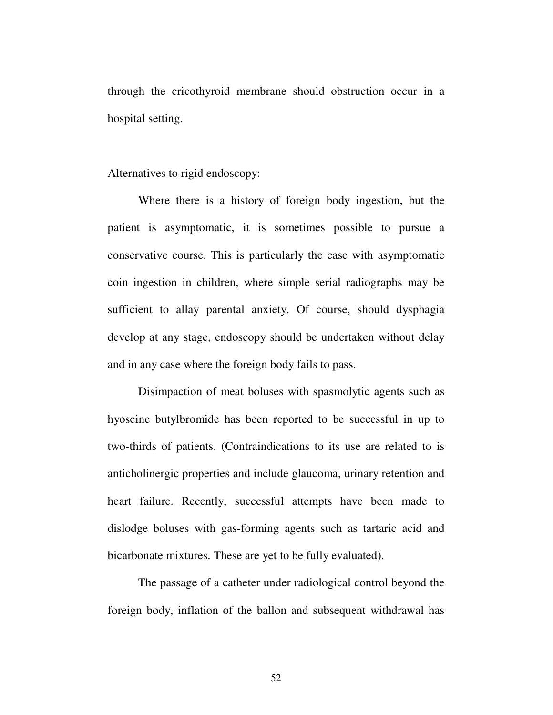through the cricothyroid membrane should obstruction occur in a hospital setting.

Alternatives to rigid endoscopy:

Where there is a history of foreign body ingestion, but the patient is asymptomatic, it is sometimes possible to pursue a conservative course. This is particularly the case with asymptomatic coin ingestion in children, where simple serial radiographs may be sufficient to allay parental anxiety. Of course, should dysphagia develop at any stage, endoscopy should be undertaken without delay and in any case where the foreign body fails to pass.

Disimpaction of meat boluses with spasmolytic agents such as hyoscine butylbromide has been reported to be successful in up to two-thirds of patients. (Contraindications to its use are related to is anticholinergic properties and include glaucoma, urinary retention and heart failure. Recently, successful attempts have been made to dislodge boluses with gas-forming agents such as tartaric acid and bicarbonate mixtures. These are yet to be fully evaluated).

The passage of a catheter under radiological control beyond the foreign body, inflation of the ballon and subsequent withdrawal has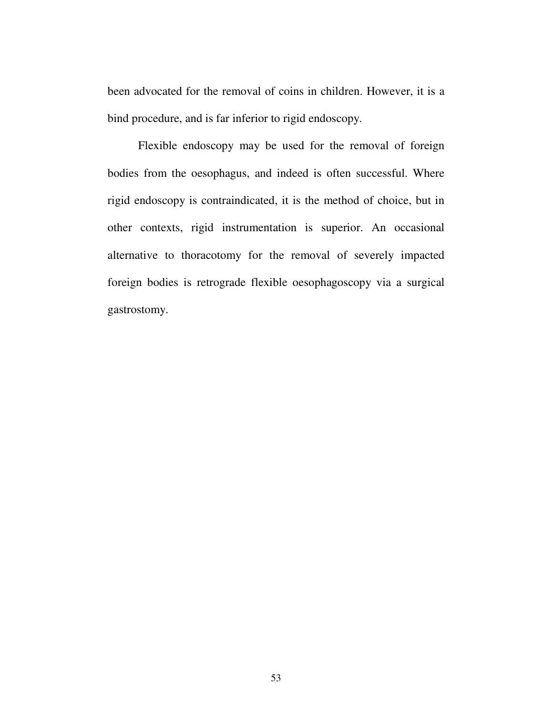been advocated for the removal of coins in children. However, it is a bind procedure, and is far inferior to rigid endoscopy.

Flexible endoscopy may be used for the removal of foreign bodies from the oesophagus, and indeed is often successful. Where rigid endoscopy is contraindicated, it is the method of choice, but in other contexts, rigid instrumentation is superior. An occasional alternative to thoracotomy for the removal of severely impacted foreign bodies is retrograde flexible oesophagoscopy via a surgical gastrostomy.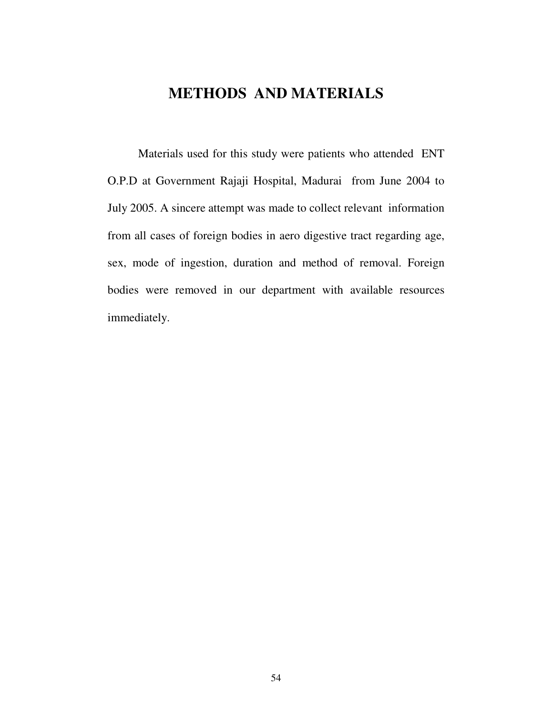# **METHODS AND MATERIALS**

Materials used for this study were patients who attended ENT O.P.D at Government Rajaji Hospital, Madurai from June 2004 to July 2005. A sincere attempt was made to collect relevant information from all cases of foreign bodies in aero digestive tract regarding age, sex, mode of ingestion, duration and method of removal. Foreign bodies were removed in our department with available resources immediately.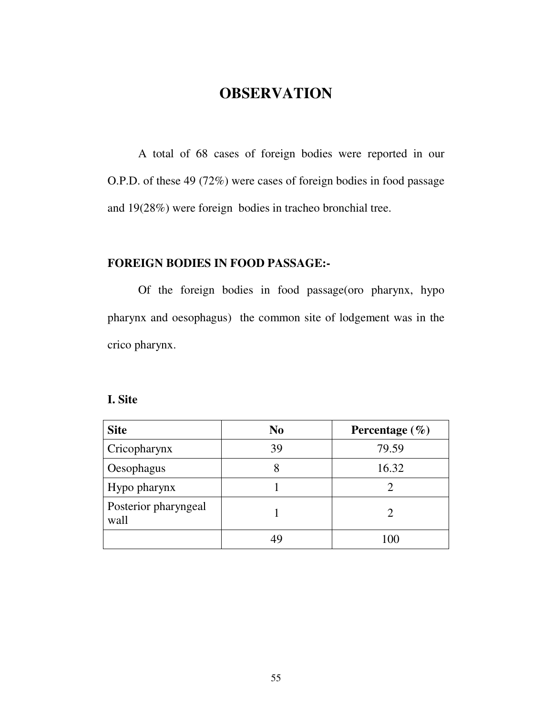# **OBSERVATION**

A total of 68 cases of foreign bodies were reported in our O.P.D. of these 49 (72%) were cases of foreign bodies in food passage and 19(28%) were foreign bodies in tracheo bronchial tree.

### **FOREIGN BODIES IN FOOD PASSAGE:-**

Of the foreign bodies in food passage(oro pharynx, hypo pharynx and oesophagus) the common site of lodgement was in the crico pharynx.

## **I. Site**

| <b>Site</b>                  | N <sub>0</sub> | Percentage $(\% )$ |
|------------------------------|----------------|--------------------|
| Cricopharynx                 | 39             | 79.59              |
| Oesophagus                   |                | 16.32              |
| Hypo pharynx                 |                |                    |
| Posterior pharyngeal<br>wall |                |                    |
|                              |                | 100                |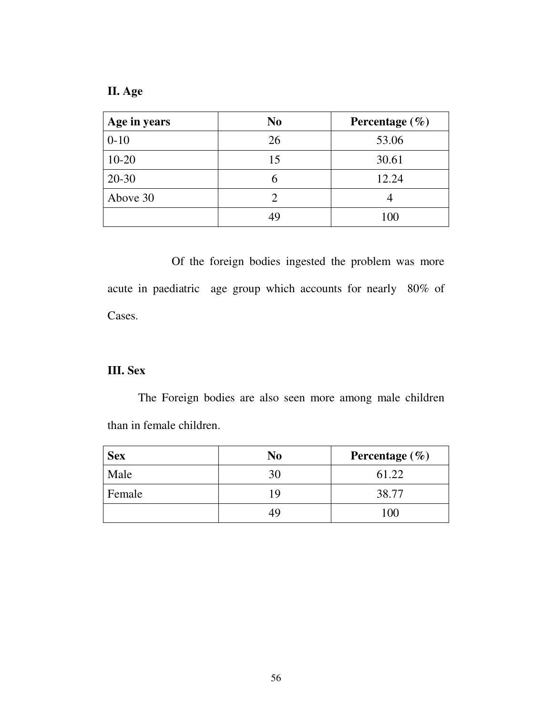**II. Age**

| Age in years | N <sub>0</sub> | Percentage $(\% )$ |
|--------------|----------------|--------------------|
| $0-10$       | 26             | 53.06              |
| $10 - 20$    | 15             | 30.61              |
| $20 - 30$    |                | 12.24              |
| Above 30     |                |                    |
|              | 49             | 100                |

Of the foreign bodies ingested the problem was more acute in paediatric age group which accounts for nearly 80% of Cases.

## **III. Sex**

The Foreign bodies are also seen more among male children than in female children.

| <b>Sex</b> | No | Percentage $(\% )$ |
|------------|----|--------------------|
| Male       | 30 | 61.22              |
| Female     | 10 | 38.77              |
|            |    | 00                 |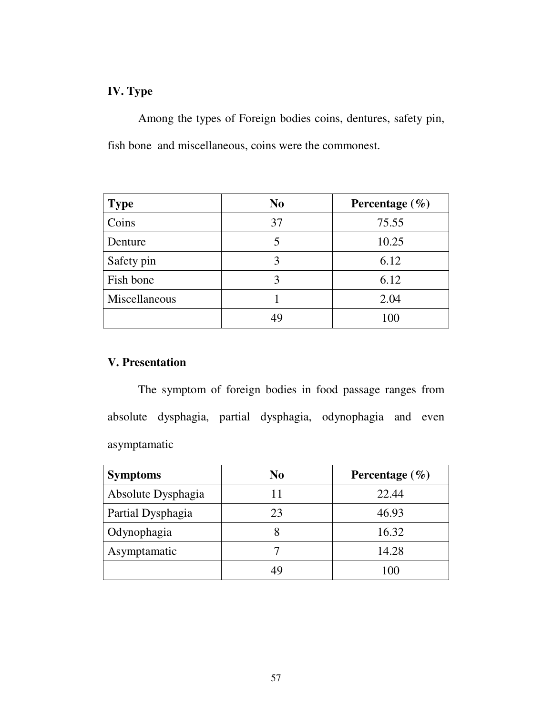## **IV. Type**

Among the types of Foreign bodies coins, dentures, safety pin, fish bone and miscellaneous, coins were the commonest.

| <b>Type</b>   | N <sub>0</sub> | Percentage $(\% )$ |
|---------------|----------------|--------------------|
| Coins         | 37             | 75.55              |
| Denture       |                | 10.25              |
| Safety pin    | 3              | 6.12               |
| Fish bone     | 3              | 6.12               |
| Miscellaneous |                | 2.04               |
|               |                | 100                |

## **V. Presentation**

The symptom of foreign bodies in food passage ranges from absolute dysphagia, partial dysphagia, odynophagia and even asymptamatic

| <b>Symptoms</b>    | N <sub>0</sub> | Percentage $(\% )$ |
|--------------------|----------------|--------------------|
| Absolute Dysphagia |                | 22.44              |
| Partial Dysphagia  | 23             | 46.93              |
| Odynophagia        |                | 16.32              |
| Asymptamatic       |                | 14.28              |
|                    |                | 100                |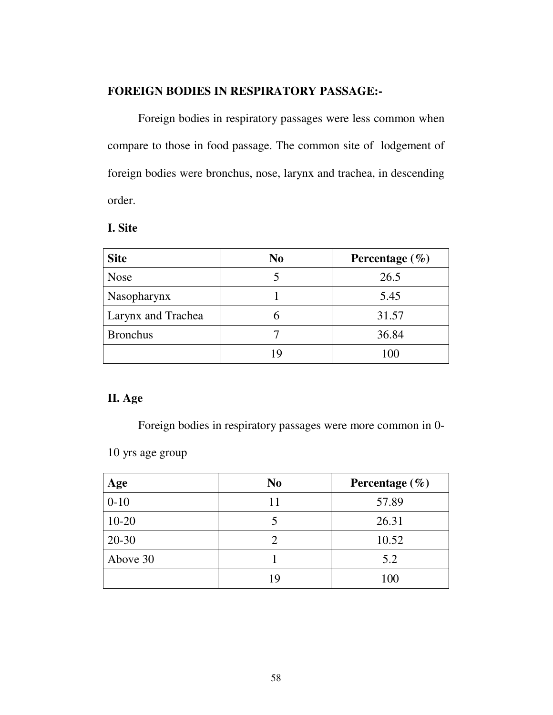## **FOREIGN BODIES IN RESPIRATORY PASSAGE:-**

Foreign bodies in respiratory passages were less common when compare to those in food passage. The common site of lodgement of foreign bodies were bronchus, nose, larynx and trachea, in descending order.

| <b>Site</b>               | N <sub>0</sub> | Percentage $(\% )$ |
|---------------------------|----------------|--------------------|
| <b>Nose</b>               |                | 26.5               |
| Nasopharynx               |                | 5.45               |
| <b>Larynx and Trachea</b> |                | 31.57              |
| <b>Bronchus</b>           |                | 36.84              |
|                           |                | 100                |

## **II. Age**

Foreign bodies in respiratory passages were more common in 0-

10 yrs age group

| Age       | N <sub>0</sub> | Percentage $(\% )$ |
|-----------|----------------|--------------------|
| $0 - 10$  | 11             | 57.89              |
| $10 - 20$ |                | 26.31              |
| $20-30$   |                | 10.52              |
| Above 30  |                | 5.2                |
|           | 19             | 100                |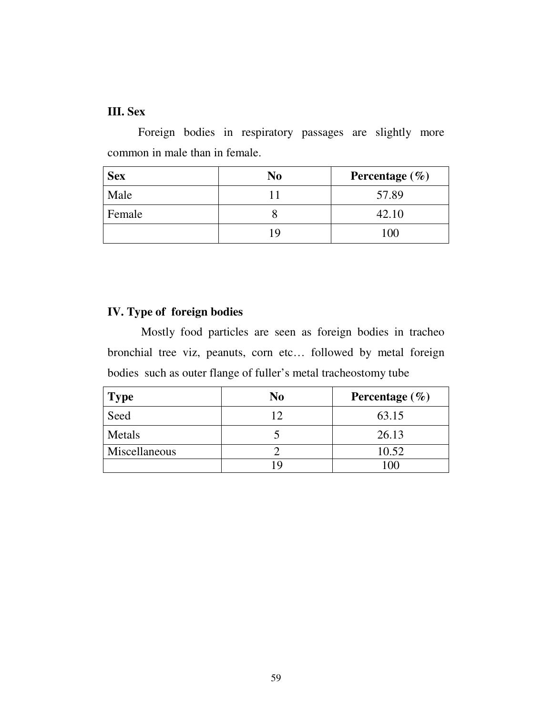## **III. Sex**

Foreign bodies in respiratory passages are slightly more common in male than in female.

| <b>Sex</b> | No | Percentage $(\% )$ |
|------------|----|--------------------|
| Male       |    | 57.89              |
| Female     |    | 42.10              |
|            |    | 100                |

## **IV. Type of foreign bodies**

Mostly food particles are seen as foreign bodies in tracheo bronchial tree viz, peanuts, corn etc… followed by metal foreign bodies such as outer flange of fuller's metal tracheostomy tube

| <b>Type</b>   | No | Percentage $(\% )$ |
|---------------|----|--------------------|
| Seed          |    | 63.15              |
| Metals        |    | 26.13              |
| Miscellaneous |    | 10.52              |
|               |    | ഹ                  |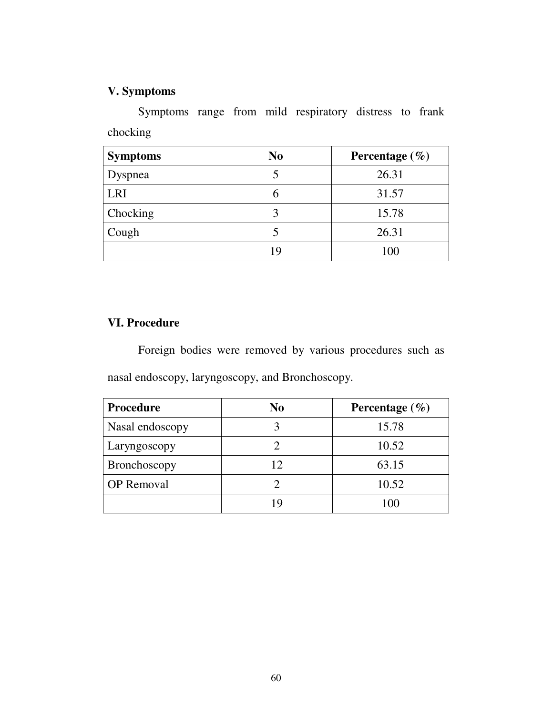# **V. Symptoms**

Symptoms range from mild respiratory distress to frank chocking

| <b>Symptoms</b> | N <sub>0</sub> | Percentage $(\% )$ |
|-----------------|----------------|--------------------|
| Dyspnea         |                | 26.31              |
| LRI             |                | 31.57              |
| Chocking        |                | 15.78              |
| Cough           |                | 26.31              |
|                 | 19             | 100                |

## **VI. Procedure**

Foreign bodies were removed by various procedures such as nasal endoscopy, laryngoscopy, and Bronchoscopy.

| <b>Procedure</b>  | No | Percentage $(\% )$ |
|-------------------|----|--------------------|
| Nasal endoscopy   |    | 15.78              |
| Laryngoscopy      |    | 10.52              |
| Bronchoscopy      | 12 | 63.15              |
| <b>OP</b> Removal |    | 10.52              |
|                   |    | $\Omega$           |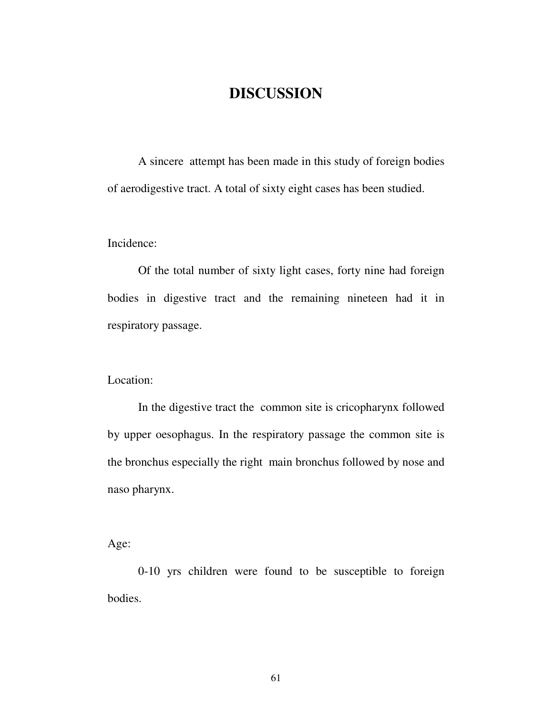# **DISCUSSION**

A sincere attempt has been made in this study of foreign bodies of aerodigestive tract. A total of sixty eight cases has been studied.

Incidence:

Of the total number of sixty light cases, forty nine had foreign bodies in digestive tract and the remaining nineteen had it in respiratory passage.

Location:

In the digestive tract the common site is cricopharynx followed by upper oesophagus. In the respiratory passage the common site is the bronchus especially the right main bronchus followed by nose and naso pharynx.

Age:

0-10 yrs children were found to be susceptible to foreign bodies.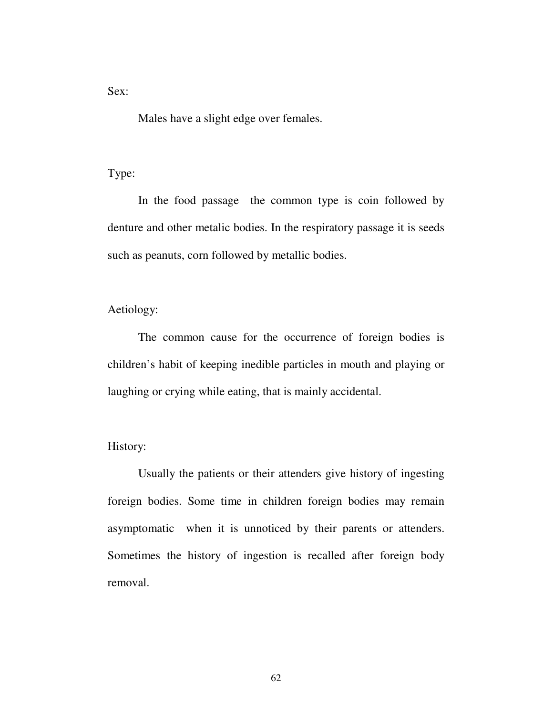Sex:

Males have a slight edge over females.

Type:

In the food passage the common type is coin followed by denture and other metalic bodies. In the respiratory passage it is seeds such as peanuts, corn followed by metallic bodies.

Aetiology:

The common cause for the occurrence of foreign bodies is children's habit of keeping inedible particles in mouth and playing or laughing or crying while eating, that is mainly accidental.

### History:

Usually the patients or their attenders give history of ingesting foreign bodies. Some time in children foreign bodies may remain asymptomatic when it is unnoticed by their parents or attenders. Sometimes the history of ingestion is recalled after foreign body removal.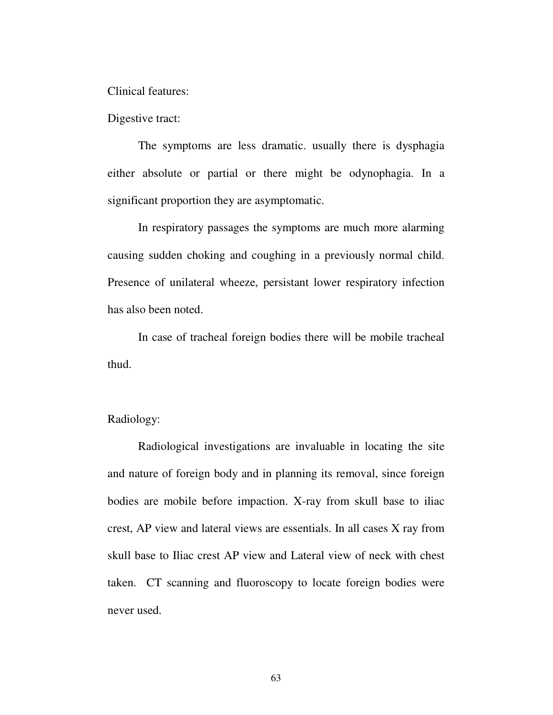Clinical features:

Digestive tract:

The symptoms are less dramatic. usually there is dysphagia either absolute or partial or there might be odynophagia. In a significant proportion they are asymptomatic.

In respiratory passages the symptoms are much more alarming causing sudden choking and coughing in a previously normal child. Presence of unilateral wheeze, persistant lower respiratory infection has also been noted.

In case of tracheal foreign bodies there will be mobile tracheal thud.

Radiology:

Radiological investigations are invaluable in locating the site and nature of foreign body and in planning its removal, since foreign bodies are mobile before impaction. X-ray from skull base to iliac crest, AP view and lateral views are essentials. In all cases X ray from skull base to Iliac crest AP view and Lateral view of neck with chest taken. CT scanning and fluoroscopy to locate foreign bodies were never used.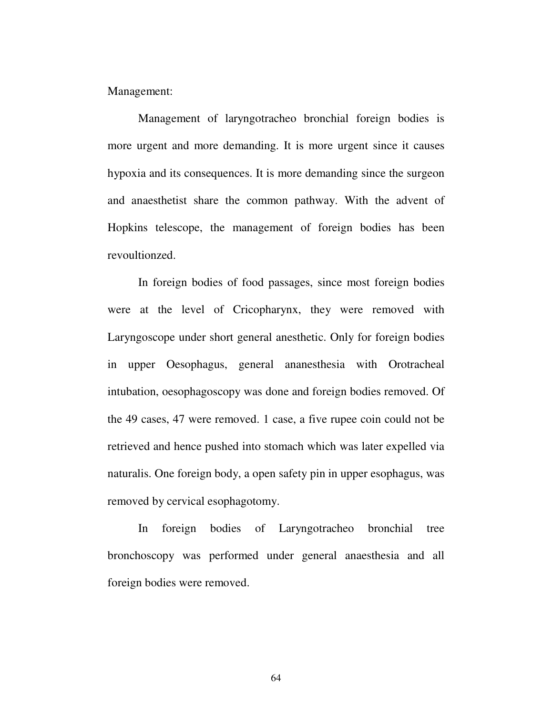Management:

Management of laryngotracheo bronchial foreign bodies is more urgent and more demanding. It is more urgent since it causes hypoxia and its consequences. It is more demanding since the surgeon and anaesthetist share the common pathway. With the advent of Hopkins telescope, the management of foreign bodies has been revoultionzed.

In foreign bodies of food passages, since most foreign bodies were at the level of Cricopharynx, they were removed with Laryngoscope under short general anesthetic. Only for foreign bodies in upper Oesophagus, general ananesthesia with Orotracheal intubation, oesophagoscopy was done and foreign bodies removed. Of the 49 cases, 47 were removed. 1 case, a five rupee coin could not be retrieved and hence pushed into stomach which was later expelled via naturalis. One foreign body, a open safety pin in upper esophagus, was removed by cervical esophagotomy.

In foreign bodies of Laryngotracheo bronchial tree bronchoscopy was performed under general anaesthesia and all foreign bodies were removed.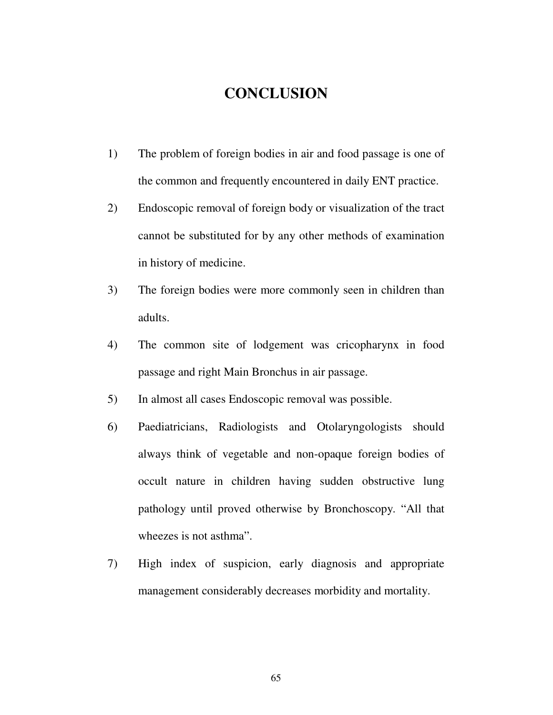# **CONCLUSION**

- 1) The problem of foreign bodies in air and food passage is one of the common and frequently encountered in daily ENT practice.
- 2) Endoscopic removal of foreign body or visualization of the tract cannot be substituted for by any other methods of examination in history of medicine.
- 3) The foreign bodies were more commonly seen in children than adults.
- 4) The common site of lodgement was cricopharynx in food passage and right Main Bronchus in air passage.
- 5) In almost all cases Endoscopic removal was possible.
- 6) Paediatricians, Radiologists and Otolaryngologists should always think of vegetable and non-opaque foreign bodies of occult nature in children having sudden obstructive lung pathology until proved otherwise by Bronchoscopy. "All that wheezes is not asthma".
- 7) High index of suspicion, early diagnosis and appropriate management considerably decreases morbidity and mortality.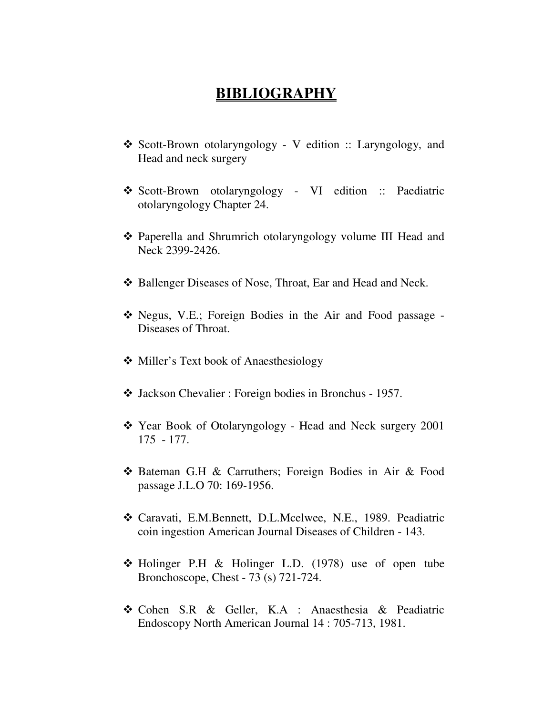# **BIBLIOGRAPHY**

- \* Scott-Brown otolaryngology V edition :: Laryngology, and Head and neck surgery
- \* Scott-Brown otolaryngology VI edition :: Paediatric otolaryngology Chapter 24.
- Paperella and Shrumrich otolaryngology volume III Head and Neck 2399-2426.
- ◆ Ballenger Diseases of Nose, Throat, Ear and Head and Neck.
- Negus, V.E.; Foreign Bodies in the Air and Food passage Diseases of Throat.
- ❖ Miller's Text book of Anaesthesiology
- Jackson Chevalier : Foreign bodies in Bronchus 1957.
- Year Book of Otolaryngology Head and Neck surgery 2001 175 - 177.
- Bateman G.H & Carruthers; Foreign Bodies in Air & Food passage J.L.O 70: 169-1956.
- Caravati, E.M.Bennett, D.L.Mcelwee, N.E., 1989. Peadiatric coin ingestion American Journal Diseases of Children - 143.
- Holinger P.H & Holinger L.D. (1978) use of open tube Bronchoscope, Chest - 73 (s) 721-724.
- Cohen S.R & Geller, K.A : Anaesthesia & Peadiatric Endoscopy North American Journal 14 : 705-713, 1981.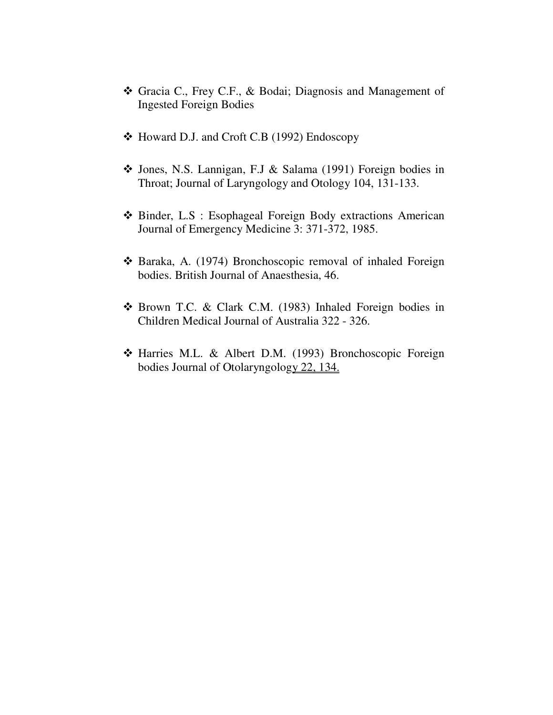- Gracia C., Frey C.F., & Bodai; Diagnosis and Management of Ingested Foreign Bodies
- Howard D.J. and Croft C.B (1992) Endoscopy
- Jones, N.S. Lannigan, F.J & Salama (1991) Foreign bodies in Throat; Journal of Laryngology and Otology 104, 131-133.
- Binder, L.S : Esophageal Foreign Body extractions American Journal of Emergency Medicine 3: 371-372, 1985.
- Baraka, A. (1974) Bronchoscopic removal of inhaled Foreign bodies. British Journal of Anaesthesia, 46.
- Brown T.C. & Clark C.M. (1983) Inhaled Foreign bodies in Children Medical Journal of Australia 322 - 326.
- Harries M.L. & Albert D.M. (1993) Bronchoscopic Foreign bodies Journal of Otolaryngology 22, 134.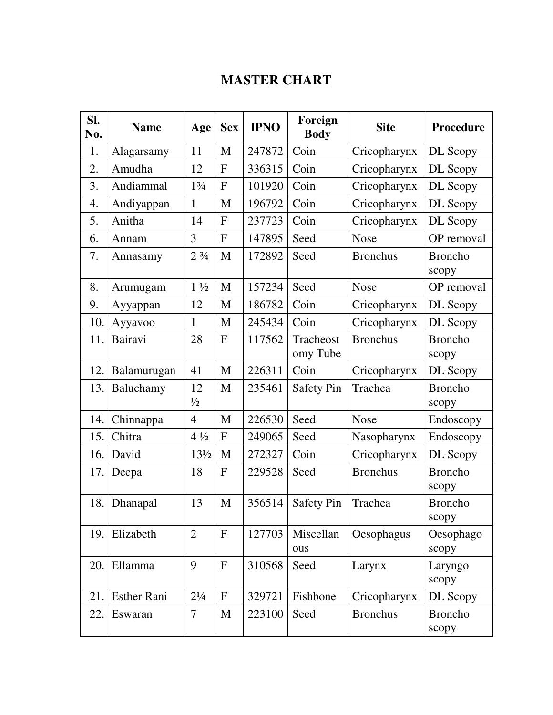# **MASTER CHART**

| SI.<br>No. | <b>Name</b>        | Age                           | <b>Sex</b>     | <b>IPNO</b> | Foreign<br><b>Body</b> | <b>Site</b>     | Procedure               |
|------------|--------------------|-------------------------------|----------------|-------------|------------------------|-----------------|-------------------------|
| 1.         | Alagarsamy         | 11                            | M              | 247872      | Coin                   | Cricopharynx    | DL Scopy                |
| 2.         | Amudha             | 12                            | $\mathbf{F}$   | 336315      | Coin                   | Cricopharynx    | DL Scopy                |
| 3.         | Andiammal          | $1\frac{3}{4}$                | $\mathbf{F}$   | 101920      | Coin                   | Cricopharynx    | DL Scopy                |
| 4.         | Andiyappan         | $\mathbf{1}$                  | M              | 196792      | Coin                   | Cricopharynx    | DL Scopy                |
| 5.         | Anitha             | 14                            | $\mathbf{F}$   | 237723      | Coin                   | Cricopharynx    | DL Scopy                |
| 6.         | Annam              | 3                             | $\mathbf{F}$   | 147895      | Seed                   | <b>Nose</b>     | OP removal              |
| 7.         | Annasamy           | 2 <sup>3</sup> / <sub>4</sub> | M              | 172892      | Seed                   | <b>Bronchus</b> | <b>Broncho</b><br>scopy |
| 8.         | Arumugam           | $1\frac{1}{2}$                | M              | 157234      | Seed                   | <b>Nose</b>     | OP removal              |
| 9.         | Ayyappan           | 12                            | M              | 186782      | Coin                   | Cricopharynx    | DL Scopy                |
| 10.        | Ayyavoo            | $\mathbf{1}$                  | M              | 245434      | Coin                   | Cricopharynx    | DL Scopy                |
| 11.        | Bairavi            | 28                            | $\mathbf{F}$   | 117562      | Tracheost<br>omy Tube  | <b>Bronchus</b> | <b>Broncho</b><br>scopy |
| 12.        | Balamurugan        | 41                            | M              | 226311      | Coin                   | Cricopharynx    | DL Scopy                |
| 13.        | Baluchamy          | 12<br>$\frac{1}{2}$           | M              | 235461      | <b>Safety Pin</b>      | Trachea         | <b>Broncho</b><br>scopy |
| 14.        | Chinnappa          | $\overline{4}$                | M              | 226530      | Seed                   | <b>Nose</b>     | Endoscopy               |
| 15.        | Chitra             | $4\frac{1}{2}$                | $\mathbf F$    | 249065      | Seed                   | Nasopharynx     | Endoscopy               |
| 16.        | David              | $13\frac{1}{2}$               | M              | 272327      | Coin                   | Cricopharynx    | DL Scopy                |
| 17.        | Deepa              | 18                            | $\mathbf{F}$   | 229528      | Seed                   | <b>Bronchus</b> | <b>Broncho</b><br>scopy |
| 18.        | Dhanapal           | 13                            | M              | 356514      | <b>Safety Pin</b>      | Trachea         | <b>Broncho</b><br>scopy |
| 19.        | Elizabeth          | $\overline{2}$                | $\overline{F}$ | 127703      | Miscellan<br>ous       | Oesophagus      | Oesophago<br>scopy      |
| 20.        | Ellamma            | 9                             | $\mathbf F$    | 310568      | Seed                   | Larynx          | Laryngo<br>scopy        |
| 21.        | <b>Esther Rani</b> | $2\frac{1}{4}$                | $\mathbf{F}$   | 329721      | Fishbone               | Cricopharynx    | DL Scopy                |
| 22.        | Eswaran            | $\overline{7}$                | M              | 223100      | Seed                   | <b>Bronchus</b> | <b>Broncho</b><br>scopy |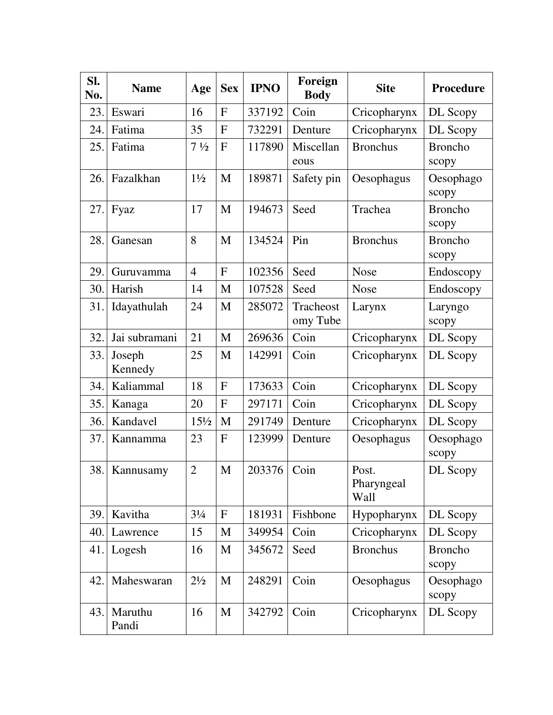| SI.<br>No. | <b>Name</b>       | Age             | <b>Sex</b>   | <b>IPNO</b> | Foreign<br><b>Body</b> | <b>Site</b>                 | <b>Procedure</b>        |
|------------|-------------------|-----------------|--------------|-------------|------------------------|-----------------------------|-------------------------|
| 23.        | Eswari            | 16              | F            | 337192      | Coin                   | Cricopharynx                | DL Scopy                |
| 24.        | Fatima            | 35              | $\mathbf{F}$ | 732291      | Denture                | Cricopharynx                | DL Scopy                |
| 25.        | Fatima            | $7\frac{1}{2}$  | $\mathbf{F}$ | 117890      | Miscellan<br>eous      | <b>Bronchus</b>             | <b>Broncho</b><br>scopy |
| 26.        | Fazalkhan         | $1\frac{1}{2}$  | M            | 189871      | Safety pin             | Oesophagus                  | Oesophago<br>scopy      |
| 27.        | Fyaz              | 17              | M            | 194673      | Seed                   | Trachea                     | <b>Broncho</b><br>scopy |
| 28.        | Ganesan           | 8               | M            | 134524      | Pin                    | <b>Bronchus</b>             | <b>Broncho</b><br>scopy |
| 29.        | Guruvamma         | $\overline{4}$  | $\mathbf F$  | 102356      | Seed                   | <b>Nose</b>                 | Endoscopy               |
| 30.        | Harish            | 14              | M            | 107528      | Seed                   | <b>Nose</b>                 | Endoscopy               |
| 31.        | Idayathulah       | 24              | M            | 285072      | Tracheost<br>omy Tube  | Larynx                      | Laryngo<br>scopy        |
| 32.        | Jai subramani     | 21              | $\mathbf M$  | 269636      | Coin                   | Cricopharynx                | DL Scopy                |
| 33.        | Joseph<br>Kennedy | 25              | M            | 142991      | Coin                   | Cricopharynx                | DL Scopy                |
| 34.        | Kaliammal         | 18              | $\mathbf{F}$ | 173633      | Coin                   | Cricopharynx                | DL Scopy                |
| 35.        | Kanaga            | 20              | $\mathbf{F}$ | 297171      | Coin                   | Cricopharynx                | DL Scopy                |
| 36.        | Kandavel          | $15\frac{1}{2}$ | M            | 291749      | Denture                | Cricopharynx                | DL Scopy                |
| 37.        | Kannamma          | 23              | $\mathbf F$  | 123999      | Denture                | Oesophagus                  | Oesophago<br>scopy      |
| 38.        | Kannusamy         | $\overline{2}$  | M            | 203376      | Coin                   | Post.<br>Pharyngeal<br>Wall | DL Scopy                |
| 39.        | Kavitha           | $3\frac{1}{4}$  | F            | 181931      | Fishbone               | Hypopharynx                 | DL Scopy                |
| 40.        | Lawrence          | 15              | M            | 349954      | Coin                   | Cricopharynx                | DL Scopy                |
| 41.        | Logesh            | 16              | M            | 345672      | Seed                   | <b>Bronchus</b>             | <b>Broncho</b><br>scopy |
| 42.        | Maheswaran        | $2\frac{1}{2}$  | M            | 248291      | Coin                   | Oesophagus                  | Oesophago<br>scopy      |
| 43.        | Maruthu<br>Pandi  | 16              | M            | 342792      | Coin                   | Cricopharynx                | DL Scopy                |